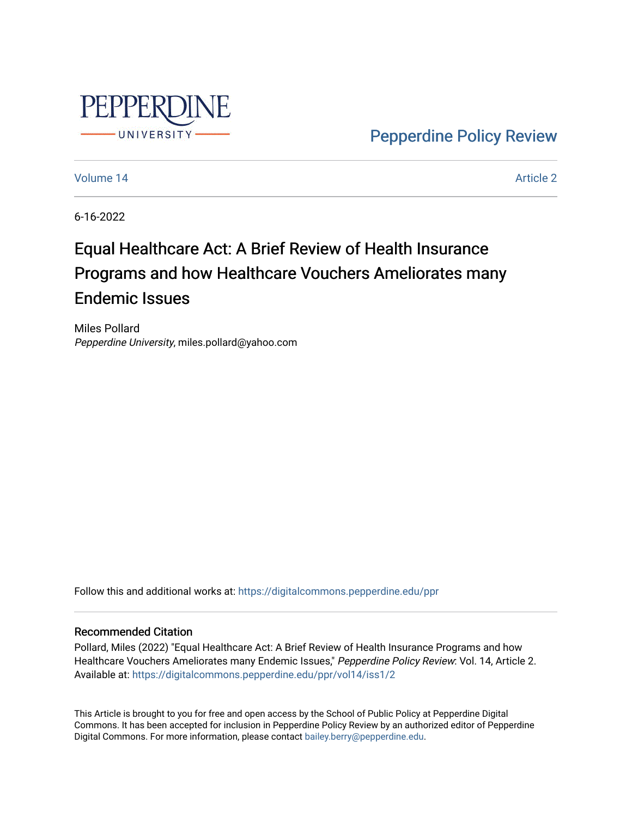

[Pepperdine Policy Review](https://digitalcommons.pepperdine.edu/ppr) 

[Volume 14](https://digitalcommons.pepperdine.edu/ppr/vol14) Article 2

6-16-2022

# Equal Healthcare Act: A Brief Review of Health Insurance Programs and how Healthcare Vouchers Ameliorates many Endemic Issues

Miles Pollard Pepperdine University, miles.pollard@yahoo.com

Follow this and additional works at: [https://digitalcommons.pepperdine.edu/ppr](https://digitalcommons.pepperdine.edu/ppr?utm_source=digitalcommons.pepperdine.edu%2Fppr%2Fvol14%2Fiss1%2F2&utm_medium=PDF&utm_campaign=PDFCoverPages)

#### Recommended Citation

Pollard, Miles (2022) "Equal Healthcare Act: A Brief Review of Health Insurance Programs and how Healthcare Vouchers Ameliorates many Endemic Issues," Pepperdine Policy Review: Vol. 14, Article 2. Available at: [https://digitalcommons.pepperdine.edu/ppr/vol14/iss1/2](https://digitalcommons.pepperdine.edu/ppr/vol14/iss1/2?utm_source=digitalcommons.pepperdine.edu%2Fppr%2Fvol14%2Fiss1%2F2&utm_medium=PDF&utm_campaign=PDFCoverPages)

This Article is brought to you for free and open access by the School of Public Policy at Pepperdine Digital Commons. It has been accepted for inclusion in Pepperdine Policy Review by an authorized editor of Pepperdine Digital Commons. For more information, please contact [bailey.berry@pepperdine.edu.](mailto:bailey.berry@pepperdine.edu)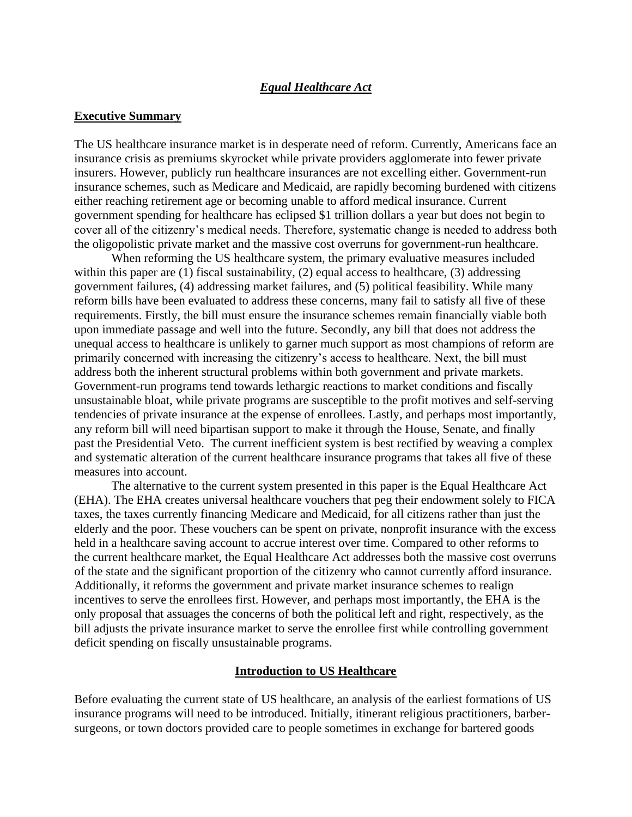#### *Equal Healthcare Act*

#### **Executive Summary**

The US healthcare insurance market is in desperate need of reform. Currently, Americans face an insurance crisis as premiums skyrocket while private providers agglomerate into fewer private insurers. However, publicly run healthcare insurances are not excelling either. Government-run insurance schemes, such as Medicare and Medicaid, are rapidly becoming burdened with citizens either reaching retirement age or becoming unable to afford medical insurance. Current government spending for healthcare has eclipsed \$1 trillion dollars a year but does not begin to cover all of the citizenry's medical needs. Therefore, systematic change is needed to address both the oligopolistic private market and the massive cost overruns for government-run healthcare.

When reforming the US healthcare system, the primary evaluative measures included within this paper are (1) fiscal sustainability, (2) equal access to healthcare, (3) addressing government failures, (4) addressing market failures, and (5) political feasibility. While many reform bills have been evaluated to address these concerns, many fail to satisfy all five of these requirements. Firstly, the bill must ensure the insurance schemes remain financially viable both upon immediate passage and well into the future. Secondly, any bill that does not address the unequal access to healthcare is unlikely to garner much support as most champions of reform are primarily concerned with increasing the citizenry's access to healthcare. Next, the bill must address both the inherent structural problems within both government and private markets. Government-run programs tend towards lethargic reactions to market conditions and fiscally unsustainable bloat, while private programs are susceptible to the profit motives and self-serving tendencies of private insurance at the expense of enrollees. Lastly, and perhaps most importantly, any reform bill will need bipartisan support to make it through the House, Senate, and finally past the Presidential Veto. The current inefficient system is best rectified by weaving a complex and systematic alteration of the current healthcare insurance programs that takes all five of these measures into account.

The alternative to the current system presented in this paper is the Equal Healthcare Act (EHA). The EHA creates universal healthcare vouchers that peg their endowment solely to FICA taxes, the taxes currently financing Medicare and Medicaid, for all citizens rather than just the elderly and the poor. These vouchers can be spent on private, nonprofit insurance with the excess held in a healthcare saving account to accrue interest over time. Compared to other reforms to the current healthcare market, the Equal Healthcare Act addresses both the massive cost overruns of the state and the significant proportion of the citizenry who cannot currently afford insurance. Additionally, it reforms the government and private market insurance schemes to realign incentives to serve the enrollees first. However, and perhaps most importantly, the EHA is the only proposal that assuages the concerns of both the political left and right, respectively, as the bill adjusts the private insurance market to serve the enrollee first while controlling government deficit spending on fiscally unsustainable programs.

#### **Introduction to US Healthcare**

Before evaluating the current state of US healthcare, an analysis of the earliest formations of US insurance programs will need to be introduced. Initially, itinerant religious practitioners, barbersurgeons, or town doctors provided care to people sometimes in exchange for bartered goods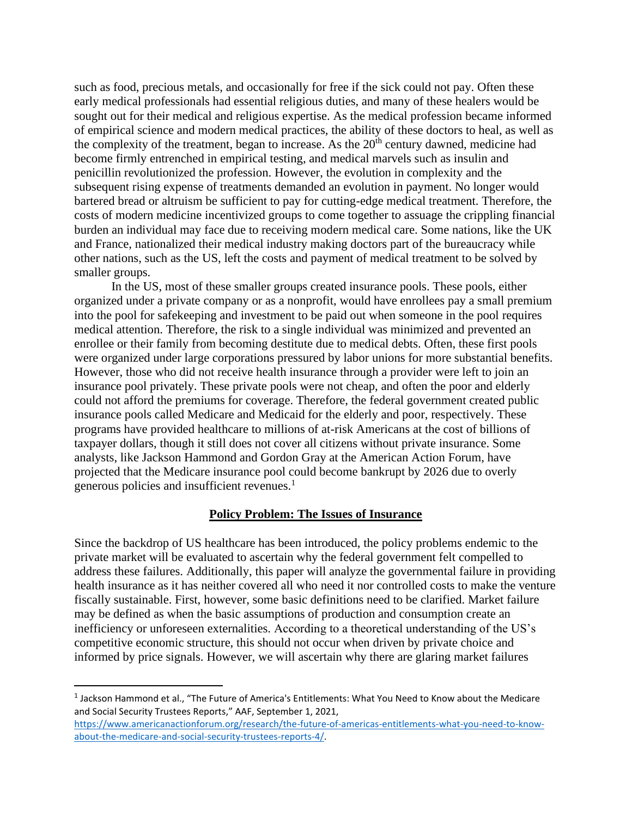such as food, precious metals, and occasionally for free if the sick could not pay. Often these early medical professionals had essential religious duties, and many of these healers would be sought out for their medical and religious expertise. As the medical profession became informed of empirical science and modern medical practices, the ability of these doctors to heal, as well as the complexity of the treatment, began to increase. As the  $20<sup>th</sup>$  century dawned, medicine had become firmly entrenched in empirical testing, and medical marvels such as insulin and penicillin revolutionized the profession. However, the evolution in complexity and the subsequent rising expense of treatments demanded an evolution in payment. No longer would bartered bread or altruism be sufficient to pay for cutting-edge medical treatment. Therefore, the costs of modern medicine incentivized groups to come together to assuage the crippling financial burden an individual may face due to receiving modern medical care. Some nations, like the UK and France, nationalized their medical industry making doctors part of the bureaucracy while other nations, such as the US, left the costs and payment of medical treatment to be solved by smaller groups.

In the US, most of these smaller groups created insurance pools. These pools, either organized under a private company or as a nonprofit, would have enrollees pay a small premium into the pool for safekeeping and investment to be paid out when someone in the pool requires medical attention. Therefore, the risk to a single individual was minimized and prevented an enrollee or their family from becoming destitute due to medical debts. Often, these first pools were organized under large corporations pressured by labor unions for more substantial benefits. However, those who did not receive health insurance through a provider were left to join an insurance pool privately. These private pools were not cheap, and often the poor and elderly could not afford the premiums for coverage. Therefore, the federal government created public insurance pools called Medicare and Medicaid for the elderly and poor, respectively. These programs have provided healthcare to millions of at-risk Americans at the cost of billions of taxpayer dollars, though it still does not cover all citizens without private insurance. Some analysts, like Jackson Hammond and Gordon Gray at the American Action Forum, have projected that the Medicare insurance pool could become bankrupt by 2026 due to overly generous policies and insufficient revenues.<sup>1</sup>

#### **Policy Problem: The Issues of Insurance**

Since the backdrop of US healthcare has been introduced, the policy problems endemic to the private market will be evaluated to ascertain why the federal government felt compelled to address these failures. Additionally, this paper will analyze the governmental failure in providing health insurance as it has neither covered all who need it nor controlled costs to make the venture fiscally sustainable. First, however, some basic definitions need to be clarified. Market failure may be defined as when the basic assumptions of production and consumption create an inefficiency or unforeseen externalities. According to a theoretical understanding of the US's competitive economic structure, this should not occur when driven by private choice and informed by price signals. However, we will ascertain why there are glaring market failures

<sup>&</sup>lt;sup>1</sup> Jackson Hammond et al., "The Future of America's Entitlements: What You Need to Know about the Medicare and Social Security Trustees Reports," AAF, September 1, 2021,

[https://www.americanactionforum.org/research/the-future-of-americas-entitlements-what-you-need-to-know](https://www.americanactionforum.org/research/the-future-of-americas-entitlements-what-you-need-to-know-about-the-medicare-and-social-security-trustees-reports-4/)[about-the-medicare-and-social-security-trustees-reports-4/.](https://www.americanactionforum.org/research/the-future-of-americas-entitlements-what-you-need-to-know-about-the-medicare-and-social-security-trustees-reports-4/)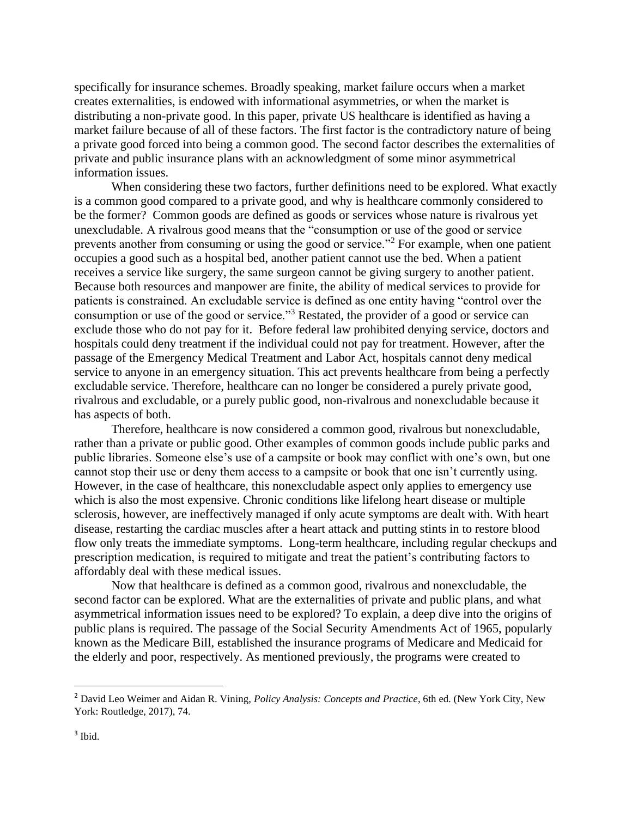specifically for insurance schemes. Broadly speaking, market failure occurs when a market creates externalities, is endowed with informational asymmetries, or when the market is distributing a non-private good. In this paper, private US healthcare is identified as having a market failure because of all of these factors. The first factor is the contradictory nature of being a private good forced into being a common good. The second factor describes the externalities of private and public insurance plans with an acknowledgment of some minor asymmetrical information issues.

When considering these two factors, further definitions need to be explored. What exactly is a common good compared to a private good, and why is healthcare commonly considered to be the former? Common goods are defined as goods or services whose nature is rivalrous yet unexcludable. A rivalrous good means that the "consumption or use of the good or service prevents another from consuming or using the good or service."<sup>2</sup> For example, when one patient occupies a good such as a hospital bed, another patient cannot use the bed. When a patient receives a service like surgery, the same surgeon cannot be giving surgery to another patient. Because both resources and manpower are finite, the ability of medical services to provide for patients is constrained. An excludable service is defined as one entity having "control over the consumption or use of the good or service."<sup>3</sup> Restated, the provider of a good or service can exclude those who do not pay for it. Before federal law prohibited denying service, doctors and hospitals could deny treatment if the individual could not pay for treatment. However, after the passage of the Emergency Medical Treatment and Labor Act, hospitals cannot deny medical service to anyone in an emergency situation. This act prevents healthcare from being a perfectly excludable service. Therefore, healthcare can no longer be considered a purely private good, rivalrous and excludable, or a purely public good, non-rivalrous and nonexcludable because it has aspects of both.

Therefore, healthcare is now considered a common good, rivalrous but nonexcludable, rather than a private or public good. Other examples of common goods include public parks and public libraries. Someone else's use of a campsite or book may conflict with one's own, but one cannot stop their use or deny them access to a campsite or book that one isn't currently using. However, in the case of healthcare, this nonexcludable aspect only applies to emergency use which is also the most expensive. Chronic conditions like lifelong heart disease or multiple sclerosis, however, are ineffectively managed if only acute symptoms are dealt with. With heart disease, restarting the cardiac muscles after a heart attack and putting stints in to restore blood flow only treats the immediate symptoms. Long-term healthcare, including regular checkups and prescription medication, is required to mitigate and treat the patient's contributing factors to affordably deal with these medical issues.

Now that healthcare is defined as a common good, rivalrous and nonexcludable, the second factor can be explored. What are the externalities of private and public plans, and what asymmetrical information issues need to be explored? To explain, a deep dive into the origins of public plans is required. The passage of the Social Security Amendments Act of 1965, popularly known as the Medicare Bill, established the insurance programs of Medicare and Medicaid for the elderly and poor, respectively. As mentioned previously, the programs were created to

<sup>2</sup> David Leo Weimer and Aidan R. Vining, *Policy Analysis: Concepts and Practice*, 6th ed. (New York City, New York: Routledge, 2017), 74.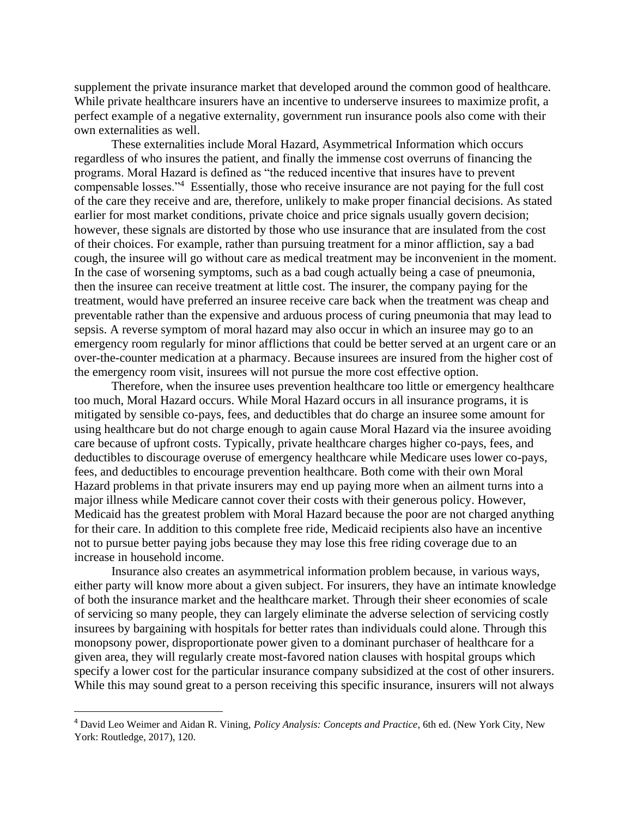supplement the private insurance market that developed around the common good of healthcare. While private healthcare insurers have an incentive to underserve insurees to maximize profit, a perfect example of a negative externality, government run insurance pools also come with their own externalities as well.

These externalities include Moral Hazard, Asymmetrical Information which occurs regardless of who insures the patient, and finally the immense cost overruns of financing the programs. Moral Hazard is defined as "the reduced incentive that insures have to prevent compensable losses."<sup>4</sup> Essentially, those who receive insurance are not paying for the full cost of the care they receive and are, therefore, unlikely to make proper financial decisions. As stated earlier for most market conditions, private choice and price signals usually govern decision; however, these signals are distorted by those who use insurance that are insulated from the cost of their choices. For example, rather than pursuing treatment for a minor affliction, say a bad cough, the insuree will go without care as medical treatment may be inconvenient in the moment. In the case of worsening symptoms, such as a bad cough actually being a case of pneumonia, then the insuree can receive treatment at little cost. The insurer, the company paying for the treatment, would have preferred an insuree receive care back when the treatment was cheap and preventable rather than the expensive and arduous process of curing pneumonia that may lead to sepsis. A reverse symptom of moral hazard may also occur in which an insuree may go to an emergency room regularly for minor afflictions that could be better served at an urgent care or an over-the-counter medication at a pharmacy. Because insurees are insured from the higher cost of the emergency room visit, insurees will not pursue the more cost effective option.

Therefore, when the insuree uses prevention healthcare too little or emergency healthcare too much, Moral Hazard occurs. While Moral Hazard occurs in all insurance programs, it is mitigated by sensible co-pays, fees, and deductibles that do charge an insuree some amount for using healthcare but do not charge enough to again cause Moral Hazard via the insuree avoiding care because of upfront costs. Typically, private healthcare charges higher co-pays, fees, and deductibles to discourage overuse of emergency healthcare while Medicare uses lower co-pays, fees, and deductibles to encourage prevention healthcare. Both come with their own Moral Hazard problems in that private insurers may end up paying more when an ailment turns into a major illness while Medicare cannot cover their costs with their generous policy. However, Medicaid has the greatest problem with Moral Hazard because the poor are not charged anything for their care. In addition to this complete free ride, Medicaid recipients also have an incentive not to pursue better paying jobs because they may lose this free riding coverage due to an increase in household income.

Insurance also creates an asymmetrical information problem because, in various ways, either party will know more about a given subject. For insurers, they have an intimate knowledge of both the insurance market and the healthcare market. Through their sheer economies of scale of servicing so many people, they can largely eliminate the adverse selection of servicing costly insurees by bargaining with hospitals for better rates than individuals could alone. Through this monopsony power, disproportionate power given to a dominant purchaser of healthcare for a given area, they will regularly create most-favored nation clauses with hospital groups which specify a lower cost for the particular insurance company subsidized at the cost of other insurers. While this may sound great to a person receiving this specific insurance, insurers will not always

<sup>4</sup> David Leo Weimer and Aidan R. Vining, *Policy Analysis: Concepts and Practice*, 6th ed. (New York City, New York: Routledge, 2017), 120.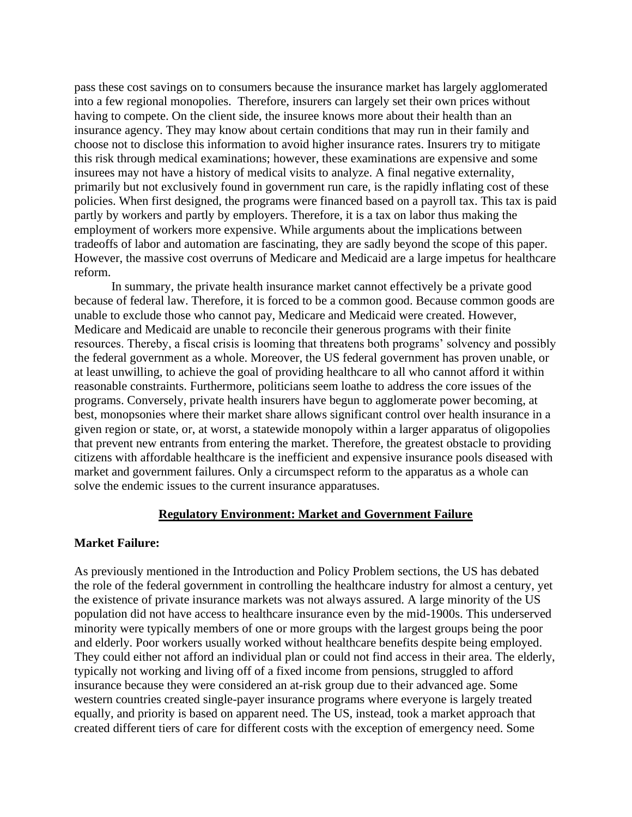pass these cost savings on to consumers because the insurance market has largely agglomerated into a few regional monopolies. Therefore, insurers can largely set their own prices without having to compete. On the client side, the insuree knows more about their health than an insurance agency. They may know about certain conditions that may run in their family and choose not to disclose this information to avoid higher insurance rates. Insurers try to mitigate this risk through medical examinations; however, these examinations are expensive and some insurees may not have a history of medical visits to analyze. A final negative externality, primarily but not exclusively found in government run care, is the rapidly inflating cost of these policies. When first designed, the programs were financed based on a payroll tax. This tax is paid partly by workers and partly by employers. Therefore, it is a tax on labor thus making the employment of workers more expensive. While arguments about the implications between tradeoffs of labor and automation are fascinating, they are sadly beyond the scope of this paper. However, the massive cost overruns of Medicare and Medicaid are a large impetus for healthcare reform.

In summary, the private health insurance market cannot effectively be a private good because of federal law. Therefore, it is forced to be a common good. Because common goods are unable to exclude those who cannot pay, Medicare and Medicaid were created. However, Medicare and Medicaid are unable to reconcile their generous programs with their finite resources. Thereby, a fiscal crisis is looming that threatens both programs' solvency and possibly the federal government as a whole. Moreover, the US federal government has proven unable, or at least unwilling, to achieve the goal of providing healthcare to all who cannot afford it within reasonable constraints. Furthermore, politicians seem loathe to address the core issues of the programs. Conversely, private health insurers have begun to agglomerate power becoming, at best, monopsonies where their market share allows significant control over health insurance in a given region or state, or, at worst, a statewide monopoly within a larger apparatus of oligopolies that prevent new entrants from entering the market. Therefore, the greatest obstacle to providing citizens with affordable healthcare is the inefficient and expensive insurance pools diseased with market and government failures. Only a circumspect reform to the apparatus as a whole can solve the endemic issues to the current insurance apparatuses.

#### **Regulatory Environment: Market and Government Failure**

#### **Market Failure:**

As previously mentioned in the Introduction and Policy Problem sections, the US has debated the role of the federal government in controlling the healthcare industry for almost a century, yet the existence of private insurance markets was not always assured. A large minority of the US population did not have access to healthcare insurance even by the mid-1900s. This underserved minority were typically members of one or more groups with the largest groups being the poor and elderly. Poor workers usually worked without healthcare benefits despite being employed. They could either not afford an individual plan or could not find access in their area. The elderly, typically not working and living off of a fixed income from pensions, struggled to afford insurance because they were considered an at-risk group due to their advanced age. Some western countries created single-payer insurance programs where everyone is largely treated equally, and priority is based on apparent need. The US, instead, took a market approach that created different tiers of care for different costs with the exception of emergency need. Some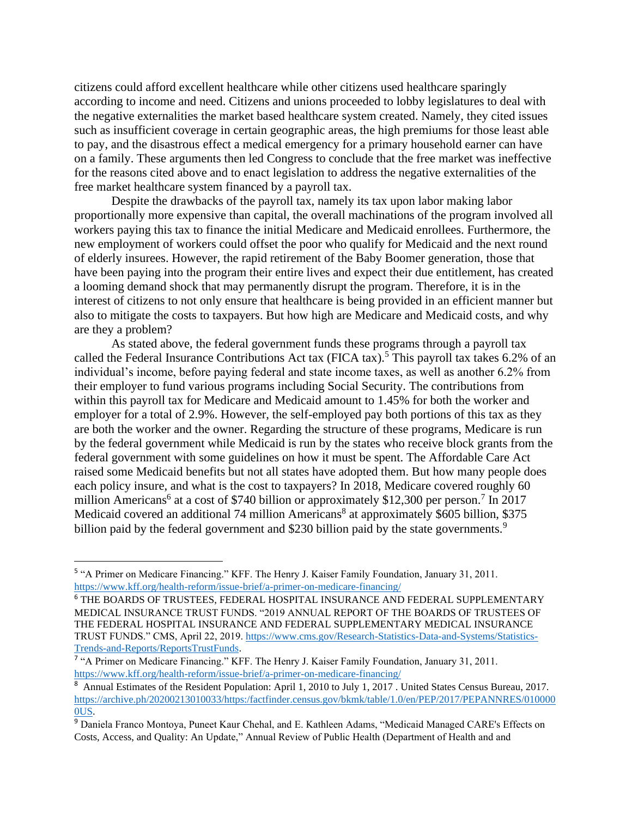citizens could afford excellent healthcare while other citizens used healthcare sparingly according to income and need. Citizens and unions proceeded to lobby legislatures to deal with the negative externalities the market based healthcare system created. Namely, they cited issues such as insufficient coverage in certain geographic areas, the high premiums for those least able to pay, and the disastrous effect a medical emergency for a primary household earner can have on a family. These arguments then led Congress to conclude that the free market was ineffective for the reasons cited above and to enact legislation to address the negative externalities of the free market healthcare system financed by a payroll tax.

Despite the drawbacks of the payroll tax, namely its tax upon labor making labor proportionally more expensive than capital, the overall machinations of the program involved all workers paying this tax to finance the initial Medicare and Medicaid enrollees. Furthermore, the new employment of workers could offset the poor who qualify for Medicaid and the next round of elderly insurees. However, the rapid retirement of the Baby Boomer generation, those that have been paying into the program their entire lives and expect their due entitlement, has created a looming demand shock that may permanently disrupt the program. Therefore, it is in the interest of citizens to not only ensure that healthcare is being provided in an efficient manner but also to mitigate the costs to taxpayers. But how high are Medicare and Medicaid costs, and why are they a problem?

As stated above, the federal government funds these programs through a payroll tax called the Federal Insurance Contributions Act tax (FICA tax).<sup>5</sup> This payroll tax takes 6.2% of an individual's income, before paying federal and state income taxes, as well as another 6.2% from their employer to fund various programs including Social Security. The contributions from within this payroll tax for Medicare and Medicaid amount to 1.45% for both the worker and employer for a total of 2.9%. However, the self-employed pay both portions of this tax as they are both the worker and the owner. Regarding the structure of these programs, Medicare is run by the federal government while Medicaid is run by the states who receive block grants from the federal government with some guidelines on how it must be spent. The Affordable Care Act raised some Medicaid benefits but not all states have adopted them. But how many people does each policy insure, and what is the cost to taxpayers? In 2018, Medicare covered roughly 60 million Americans<sup>6</sup> at a cost of \$740 billion or approximately \$12,300 per person.<sup>7</sup> In 2017 Medicaid covered an additional 74 million Americans<sup>8</sup> at approximately \$605 billion, \$375 billion paid by the federal government and \$230 billion paid by the state governments.<sup>9</sup>

<sup>&</sup>lt;sup>5</sup> "A Primer on Medicare Financing." KFF. The Henry J. Kaiser Family Foundation, January 31, 2011. <https://www.kff.org/health-reform/issue-brief/a-primer-on-medicare-financing/>

<sup>6</sup> THE BOARDS OF TRUSTEES, FEDERAL HOSPITAL INSURANCE AND FEDERAL SUPPLEMENTARY MEDICAL INSURANCE TRUST FUNDS. "2019 ANNUAL REPORT OF THE BOARDS OF TRUSTEES OF THE FEDERAL HOSPITAL INSURANCE AND FEDERAL SUPPLEMENTARY MEDICAL INSURANCE TRUST FUNDS." CMS, April 22, 2019. [https://www.cms.gov/Research-Statistics-Data-and-Systems/Statistics-](https://www.cms.gov/Research-Statistics-Data-and-Systems/Statistics-Trends-and-Reports/ReportsTrustFunds)[Trends-and-Reports/ReportsTrustFunds.](https://www.cms.gov/Research-Statistics-Data-and-Systems/Statistics-Trends-and-Reports/ReportsTrustFunds)

<sup>&</sup>lt;sup>7</sup> "A Primer on Medicare Financing." KFF. The Henry J. Kaiser Family Foundation, January 31, 2011. <https://www.kff.org/health-reform/issue-brief/a-primer-on-medicare-financing/>

<sup>&</sup>lt;sup>8</sup> Annual Estimates of the Resident Population: April 1, 2010 to July 1, 2017. United States Census Bureau, 2017. [https://archive.ph/20200213010033/https:/factfinder.census.gov/bkmk/table/1.0/en/PEP/2017/PEPANNRES/010000](https://archive.ph/20200213010033/https:/factfinder.census.gov/bkmk/table/1.0/en/PEP/2017/PEPANNRES/0100000US) [0US.](https://archive.ph/20200213010033/https:/factfinder.census.gov/bkmk/table/1.0/en/PEP/2017/PEPANNRES/0100000US)

<sup>9</sup> Daniela Franco Montoya, Puneet Kaur Chehal, and E. Kathleen Adams, "Medicaid Managed CARE's Effects on Costs, Access, and Quality: An Update," Annual Review of Public Health (Department of Health and and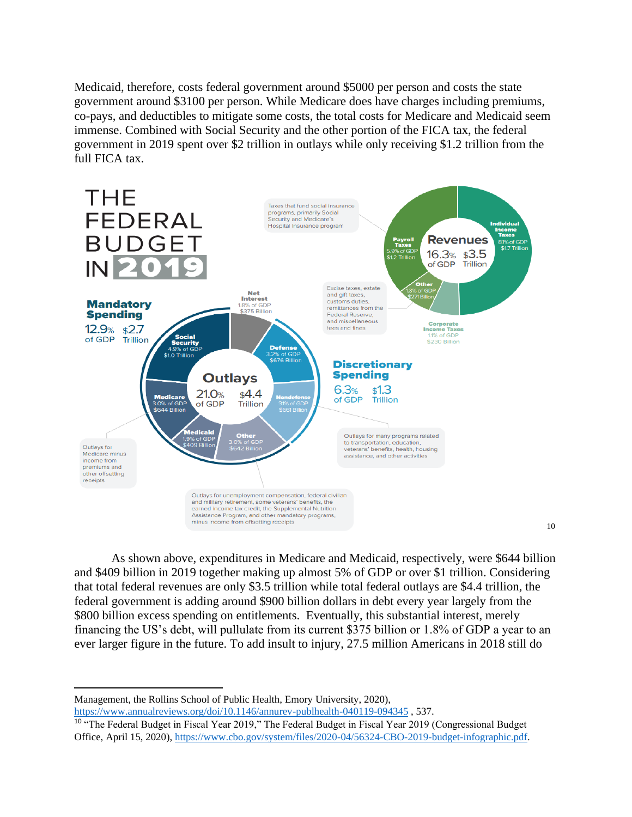Medicaid, therefore, costs federal government around \$5000 per person and costs the state government around \$3100 per person. While Medicare does have charges including premiums, co-pays, and deductibles to mitigate some costs, the total costs for Medicare and Medicaid seem immense. Combined with Social Security and the other portion of the FICA tax, the federal government in 2019 spent over \$2 trillion in outlays while only receiving \$1.2 trillion from the full FICA tax.



As shown above, expenditures in Medicare and Medicaid, respectively, were \$644 billion and \$409 billion in 2019 together making up almost 5% of GDP or over \$1 trillion. Considering that total federal revenues are only \$3.5 trillion while total federal outlays are \$4.4 trillion, the federal government is adding around \$900 billion dollars in debt every year largely from the \$800 billion excess spending on entitlements. Eventually, this substantial interest, merely financing the US's debt, will pullulate from its current \$375 billion or 1.8% of GDP a year to an ever larger figure in the future. To add insult to injury, 27.5 million Americans in 2018 still do

Management, the Rollins School of Public Health, Emory University, 2020), <https://www.annualreviews.org/doi/10.1146/annurev-publhealth-040119-094345> , 537.

<sup>&</sup>lt;sup>10</sup> "The Federal Budget in Fiscal Year 2019," The Federal Budget in Fiscal Year 2019 (Congressional Budget Office, April 15, 2020)[, https://www.cbo.gov/system/files/2020-04/56324-CBO-2019-budget-infographic.pdf.](https://www.cbo.gov/system/files/2020-04/56324-CBO-2019-budget-infographic.pdf)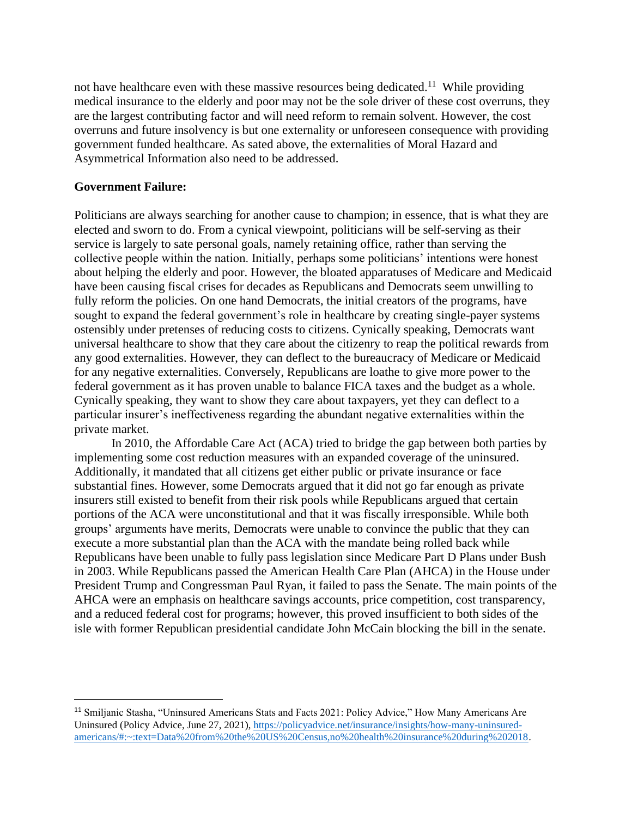not have healthcare even with these massive resources being dedicated.<sup>11</sup> While providing medical insurance to the elderly and poor may not be the sole driver of these cost overruns, they are the largest contributing factor and will need reform to remain solvent. However, the cost overruns and future insolvency is but one externality or unforeseen consequence with providing government funded healthcare. As sated above, the externalities of Moral Hazard and Asymmetrical Information also need to be addressed.

## **Government Failure:**

Politicians are always searching for another cause to champion; in essence, that is what they are elected and sworn to do. From a cynical viewpoint, politicians will be self-serving as their service is largely to sate personal goals, namely retaining office, rather than serving the collective people within the nation. Initially, perhaps some politicians' intentions were honest about helping the elderly and poor. However, the bloated apparatuses of Medicare and Medicaid have been causing fiscal crises for decades as Republicans and Democrats seem unwilling to fully reform the policies. On one hand Democrats, the initial creators of the programs, have sought to expand the federal government's role in healthcare by creating single-payer systems ostensibly under pretenses of reducing costs to citizens. Cynically speaking, Democrats want universal healthcare to show that they care about the citizenry to reap the political rewards from any good externalities. However, they can deflect to the bureaucracy of Medicare or Medicaid for any negative externalities. Conversely, Republicans are loathe to give more power to the federal government as it has proven unable to balance FICA taxes and the budget as a whole. Cynically speaking, they want to show they care about taxpayers, yet they can deflect to a particular insurer's ineffectiveness regarding the abundant negative externalities within the private market.

In 2010, the Affordable Care Act (ACA) tried to bridge the gap between both parties by implementing some cost reduction measures with an expanded coverage of the uninsured. Additionally, it mandated that all citizens get either public or private insurance or face substantial fines. However, some Democrats argued that it did not go far enough as private insurers still existed to benefit from their risk pools while Republicans argued that certain portions of the ACA were unconstitutional and that it was fiscally irresponsible. While both groups' arguments have merits, Democrats were unable to convince the public that they can execute a more substantial plan than the ACA with the mandate being rolled back while Republicans have been unable to fully pass legislation since Medicare Part D Plans under Bush in 2003. While Republicans passed the American Health Care Plan (AHCA) in the House under President Trump and Congressman Paul Ryan, it failed to pass the Senate. The main points of the AHCA were an emphasis on healthcare savings accounts, price competition, cost transparency, and a reduced federal cost for programs; however, this proved insufficient to both sides of the isle with former Republican presidential candidate John McCain blocking the bill in the senate.

<sup>11</sup> Smiljanic Stasha, "Uninsured Americans Stats and Facts 2021: Policy Advice," How Many Americans Are Uninsured (Policy Advice, June 27, 2021)[, https://policyadvice.net/insurance/insights/how-many-uninsured](https://policyadvice.net/insurance/insights/how-many-uninsured-americans/#:~:text=Data%20from%20the%20US%20Census,no%20health%20insurance%20during%202018)[americans/#:~:text=Data%20from%20the%20US%20Census,no%20health%20insurance%20during%202018.](https://policyadvice.net/insurance/insights/how-many-uninsured-americans/#:~:text=Data%20from%20the%20US%20Census,no%20health%20insurance%20during%202018)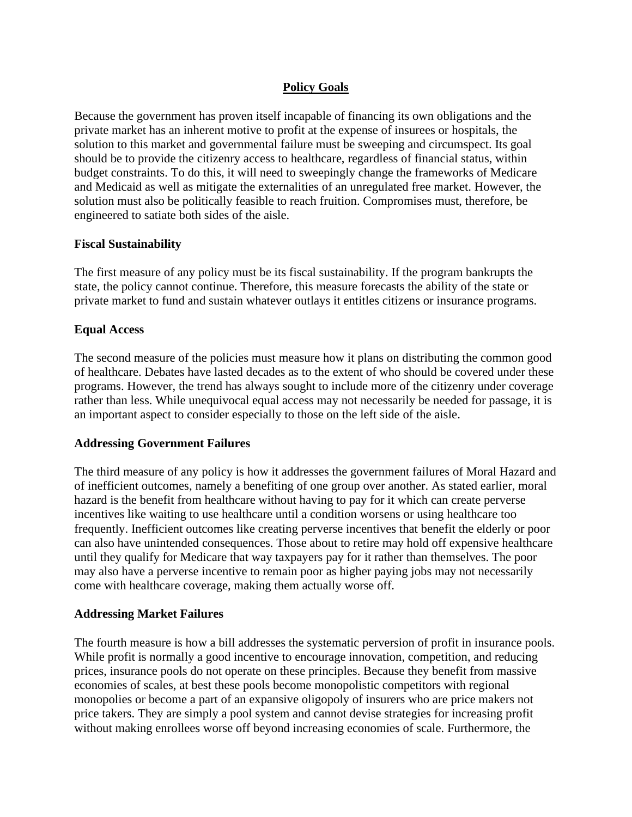## **Policy Goals**

Because the government has proven itself incapable of financing its own obligations and the private market has an inherent motive to profit at the expense of insurees or hospitals, the solution to this market and governmental failure must be sweeping and circumspect. Its goal should be to provide the citizenry access to healthcare, regardless of financial status, within budget constraints. To do this, it will need to sweepingly change the frameworks of Medicare and Medicaid as well as mitigate the externalities of an unregulated free market. However, the solution must also be politically feasible to reach fruition. Compromises must, therefore, be engineered to satiate both sides of the aisle.

#### **Fiscal Sustainability**

The first measure of any policy must be its fiscal sustainability. If the program bankrupts the state, the policy cannot continue. Therefore, this measure forecasts the ability of the state or private market to fund and sustain whatever outlays it entitles citizens or insurance programs.

## **Equal Access**

The second measure of the policies must measure how it plans on distributing the common good of healthcare. Debates have lasted decades as to the extent of who should be covered under these programs. However, the trend has always sought to include more of the citizenry under coverage rather than less. While unequivocal equal access may not necessarily be needed for passage, it is an important aspect to consider especially to those on the left side of the aisle.

#### **Addressing Government Failures**

The third measure of any policy is how it addresses the government failures of Moral Hazard and of inefficient outcomes, namely a benefiting of one group over another. As stated earlier, moral hazard is the benefit from healthcare without having to pay for it which can create perverse incentives like waiting to use healthcare until a condition worsens or using healthcare too frequently. Inefficient outcomes like creating perverse incentives that benefit the elderly or poor can also have unintended consequences. Those about to retire may hold off expensive healthcare until they qualify for Medicare that way taxpayers pay for it rather than themselves. The poor may also have a perverse incentive to remain poor as higher paying jobs may not necessarily come with healthcare coverage, making them actually worse off.

#### **Addressing Market Failures**

The fourth measure is how a bill addresses the systematic perversion of profit in insurance pools. While profit is normally a good incentive to encourage innovation, competition, and reducing prices, insurance pools do not operate on these principles. Because they benefit from massive economies of scales, at best these pools become monopolistic competitors with regional monopolies or become a part of an expansive oligopoly of insurers who are price makers not price takers. They are simply a pool system and cannot devise strategies for increasing profit without making enrollees worse off beyond increasing economies of scale. Furthermore, the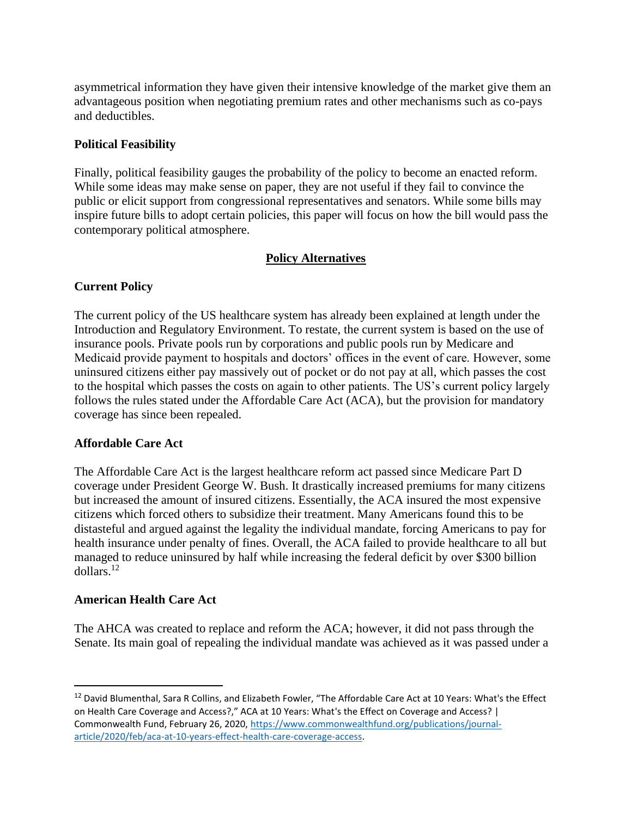asymmetrical information they have given their intensive knowledge of the market give them an advantageous position when negotiating premium rates and other mechanisms such as co-pays and deductibles.

## **Political Feasibility**

Finally, political feasibility gauges the probability of the policy to become an enacted reform. While some ideas may make sense on paper, they are not useful if they fail to convince the public or elicit support from congressional representatives and senators. While some bills may inspire future bills to adopt certain policies, this paper will focus on how the bill would pass the contemporary political atmosphere.

## **Policy Alternatives**

## **Current Policy**

The current policy of the US healthcare system has already been explained at length under the Introduction and Regulatory Environment. To restate, the current system is based on the use of insurance pools. Private pools run by corporations and public pools run by Medicare and Medicaid provide payment to hospitals and doctors' offices in the event of care. However, some uninsured citizens either pay massively out of pocket or do not pay at all, which passes the cost to the hospital which passes the costs on again to other patients. The US's current policy largely follows the rules stated under the Affordable Care Act (ACA), but the provision for mandatory coverage has since been repealed.

#### **Affordable Care Act**

The Affordable Care Act is the largest healthcare reform act passed since Medicare Part D coverage under President George W. Bush. It drastically increased premiums for many citizens but increased the amount of insured citizens. Essentially, the ACA insured the most expensive citizens which forced others to subsidize their treatment. Many Americans found this to be distasteful and argued against the legality the individual mandate, forcing Americans to pay for health insurance under penalty of fines. Overall, the ACA failed to provide healthcare to all but managed to reduce uninsured by half while increasing the federal deficit by over \$300 billion dollars.<sup>12</sup>

#### **American Health Care Act**

The AHCA was created to replace and reform the ACA; however, it did not pass through the Senate. Its main goal of repealing the individual mandate was achieved as it was passed under a

<sup>&</sup>lt;sup>12</sup> David Blumenthal, Sara R Collins, and Elizabeth Fowler, "The Affordable Care Act at 10 Years: What's the Effect on Health Care Coverage and Access?," ACA at 10 Years: What's the Effect on Coverage and Access? | Commonwealth Fund, February 26, 2020, [https://www.commonwealthfund.org/publications/journal](https://www.commonwealthfund.org/publications/journal-article/2020/feb/aca-at-10-years-effect-health-care-coverage-access)[article/2020/feb/aca-at-10-years-effect-health-care-coverage-access.](https://www.commonwealthfund.org/publications/journal-article/2020/feb/aca-at-10-years-effect-health-care-coverage-access)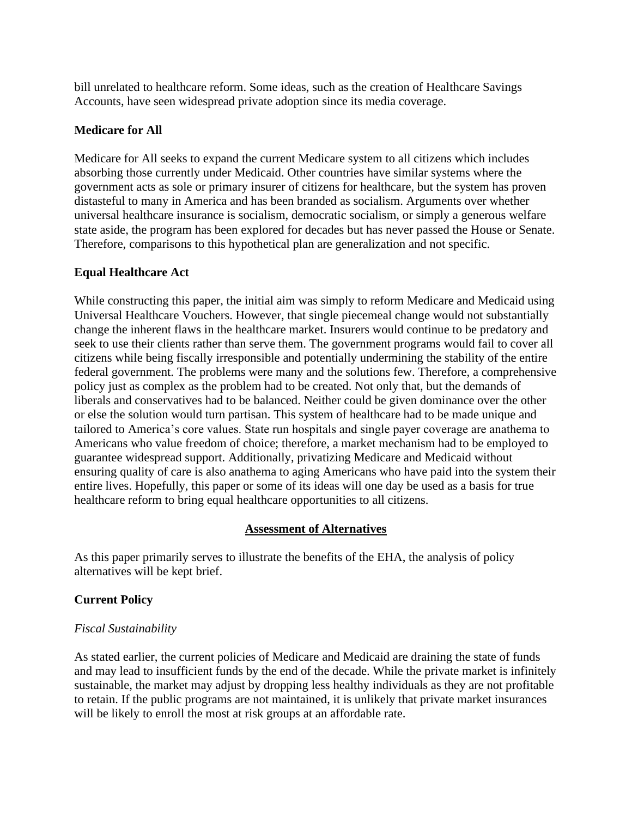bill unrelated to healthcare reform. Some ideas, such as the creation of Healthcare Savings Accounts, have seen widespread private adoption since its media coverage.

## **Medicare for All**

Medicare for All seeks to expand the current Medicare system to all citizens which includes absorbing those currently under Medicaid. Other countries have similar systems where the government acts as sole or primary insurer of citizens for healthcare, but the system has proven distasteful to many in America and has been branded as socialism. Arguments over whether universal healthcare insurance is socialism, democratic socialism, or simply a generous welfare state aside, the program has been explored for decades but has never passed the House or Senate. Therefore, comparisons to this hypothetical plan are generalization and not specific.

## **Equal Healthcare Act**

While constructing this paper, the initial aim was simply to reform Medicare and Medicaid using Universal Healthcare Vouchers. However, that single piecemeal change would not substantially change the inherent flaws in the healthcare market. Insurers would continue to be predatory and seek to use their clients rather than serve them. The government programs would fail to cover all citizens while being fiscally irresponsible and potentially undermining the stability of the entire federal government. The problems were many and the solutions few. Therefore, a comprehensive policy just as complex as the problem had to be created. Not only that, but the demands of liberals and conservatives had to be balanced. Neither could be given dominance over the other or else the solution would turn partisan. This system of healthcare had to be made unique and tailored to America's core values. State run hospitals and single payer coverage are anathema to Americans who value freedom of choice; therefore, a market mechanism had to be employed to guarantee widespread support. Additionally, privatizing Medicare and Medicaid without ensuring quality of care is also anathema to aging Americans who have paid into the system their entire lives. Hopefully, this paper or some of its ideas will one day be used as a basis for true healthcare reform to bring equal healthcare opportunities to all citizens.

#### **Assessment of Alternatives**

As this paper primarily serves to illustrate the benefits of the EHA, the analysis of policy alternatives will be kept brief.

## **Current Policy**

#### *Fiscal Sustainability*

As stated earlier, the current policies of Medicare and Medicaid are draining the state of funds and may lead to insufficient funds by the end of the decade. While the private market is infinitely sustainable, the market may adjust by dropping less healthy individuals as they are not profitable to retain. If the public programs are not maintained, it is unlikely that private market insurances will be likely to enroll the most at risk groups at an affordable rate.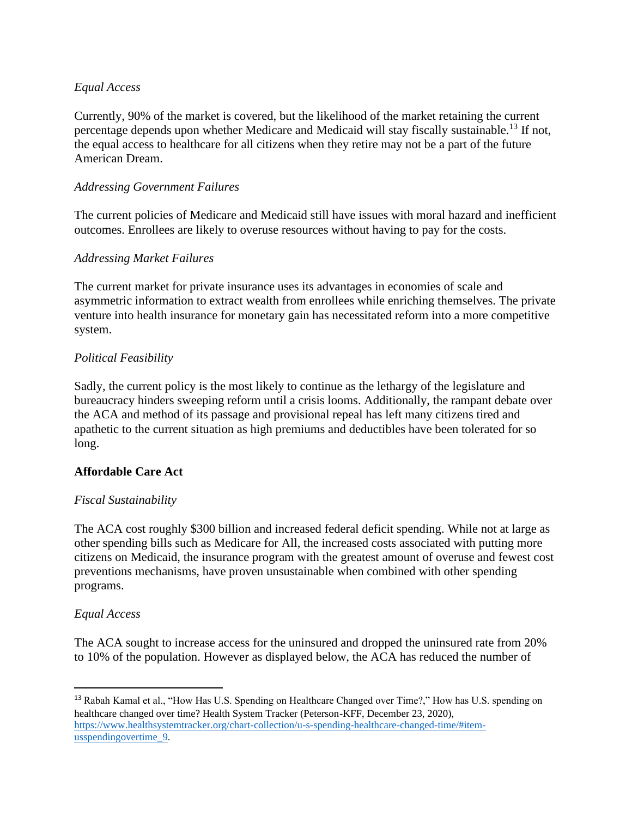## *Equal Access*

Currently, 90% of the market is covered, but the likelihood of the market retaining the current percentage depends upon whether Medicare and Medicaid will stay fiscally sustainable.<sup>13</sup> If not, the equal access to healthcare for all citizens when they retire may not be a part of the future American Dream.

## *Addressing Government Failures*

The current policies of Medicare and Medicaid still have issues with moral hazard and inefficient outcomes. Enrollees are likely to overuse resources without having to pay for the costs.

## *Addressing Market Failures*

The current market for private insurance uses its advantages in economies of scale and asymmetric information to extract wealth from enrollees while enriching themselves. The private venture into health insurance for monetary gain has necessitated reform into a more competitive system.

## *Political Feasibility*

Sadly, the current policy is the most likely to continue as the lethargy of the legislature and bureaucracy hinders sweeping reform until a crisis looms. Additionally, the rampant debate over the ACA and method of its passage and provisional repeal has left many citizens tired and apathetic to the current situation as high premiums and deductibles have been tolerated for so long.

## **Affordable Care Act**

#### *Fiscal Sustainability*

The ACA cost roughly \$300 billion and increased federal deficit spending. While not at large as other spending bills such as Medicare for All, the increased costs associated with putting more citizens on Medicaid, the insurance program with the greatest amount of overuse and fewest cost preventions mechanisms, have proven unsustainable when combined with other spending programs.

#### *Equal Access*

The ACA sought to increase access for the uninsured and dropped the uninsured rate from 20% to 10% of the population. However as displayed below, the ACA has reduced the number of

<sup>&</sup>lt;sup>13</sup> Rabah Kamal et al., "How Has U.S. Spending on Healthcare Changed over Time?," How has U.S. spending on healthcare changed over time? Health System Tracker (Peterson-KFF, December 23, 2020), [https://www.healthsystemtracker.org/chart-collection/u-s-spending-healthcare-changed-time/#item](https://www.healthsystemtracker.org/chart-collection/u-s-spending-healthcare-changed-time/#item-usspendingovertime_9)[usspendingovertime\\_9.](https://www.healthsystemtracker.org/chart-collection/u-s-spending-healthcare-changed-time/#item-usspendingovertime_9)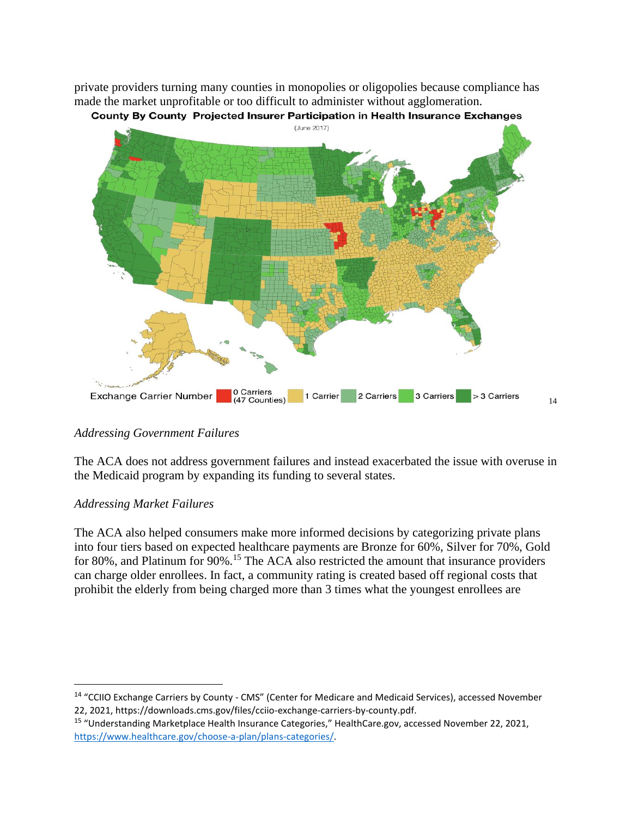private providers turning many counties in monopolies or oligopolies because compliance has made the market unprofitable or too difficult to administer without agglomeration.



## *Addressing Government Failures*

The ACA does not address government failures and instead exacerbated the issue with overuse in the Medicaid program by expanding its funding to several states.

#### *Addressing Market Failures*

The ACA also helped consumers make more informed decisions by categorizing private plans into four tiers based on expected healthcare payments are Bronze for 60%, Silver for 70%, Gold for 80%, and Platinum for 90%.<sup>15</sup> The ACA also restricted the amount that insurance providers can charge older enrollees. In fact, a community rating is created based off regional costs that prohibit the elderly from being charged more than 3 times what the youngest enrollees are

<sup>14</sup> "CCIIO Exchange Carriers by County - CMS" (Center for Medicare and Medicaid Services), accessed November 22, 2021, https://downloads.cms.gov/files/cciio-exchange-carriers-by-county.pdf.

<sup>15</sup> "Understanding Marketplace Health Insurance Categories," HealthCare.gov, accessed November 22, 2021, [https://www.healthcare.gov/choose-a-plan/plans-categories/.](https://www.healthcare.gov/choose-a-plan/plans-categories/)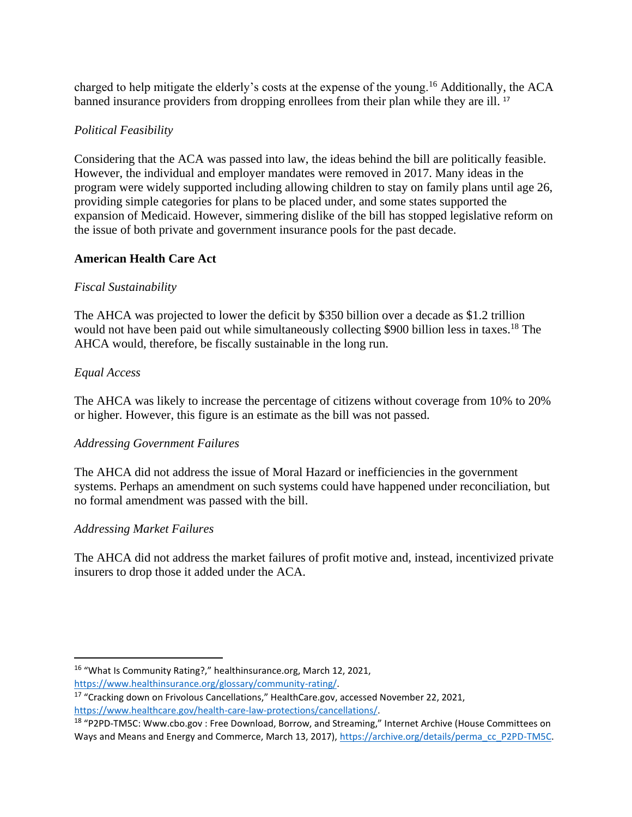charged to help mitigate the elderly's costs at the expense of the young.<sup>16</sup> Additionally, the ACA banned insurance providers from dropping enrollees from their plan while they are ill.<sup>17</sup>

## *Political Feasibility*

Considering that the ACA was passed into law, the ideas behind the bill are politically feasible. However, the individual and employer mandates were removed in 2017. Many ideas in the program were widely supported including allowing children to stay on family plans until age 26, providing simple categories for plans to be placed under, and some states supported the expansion of Medicaid. However, simmering dislike of the bill has stopped legislative reform on the issue of both private and government insurance pools for the past decade.

## **American Health Care Act**

## *Fiscal Sustainability*

The AHCA was projected to lower the deficit by \$350 billion over a decade as \$1.2 trillion would not have been paid out while simultaneously collecting \$900 billion less in taxes.<sup>18</sup> The AHCA would, therefore, be fiscally sustainable in the long run.

## *Equal Access*

The AHCA was likely to increase the percentage of citizens without coverage from 10% to 20% or higher. However, this figure is an estimate as the bill was not passed.

## *Addressing Government Failures*

The AHCA did not address the issue of Moral Hazard or inefficiencies in the government systems. Perhaps an amendment on such systems could have happened under reconciliation, but no formal amendment was passed with the bill.

## *Addressing Market Failures*

The AHCA did not address the market failures of profit motive and, instead, incentivized private insurers to drop those it added under the ACA.

<sup>16</sup> "What Is Community Rating?," healthinsurance.org, March 12, 2021,

[https://www.healthinsurance.org/glossary/community-rating/.](https://www.healthinsurance.org/glossary/community-rating/) 

<sup>&</sup>lt;sup>17</sup> "Cracking down on Frivolous Cancellations," HealthCare.gov, accessed November 22, 2021, [https://www.healthcare.gov/health-care-law-protections/cancellations/.](https://www.healthcare.gov/health-care-law-protections/cancellations/)

<sup>18</sup> "P2PD-TM5C: Www.cbo.gov : Free Download, Borrow, and Streaming," Internet Archive (House Committees on Ways and Means and Energy and Commerce, March 13, 2017), https://archive.org/details/perma\_cc\_P2PD-TM5C.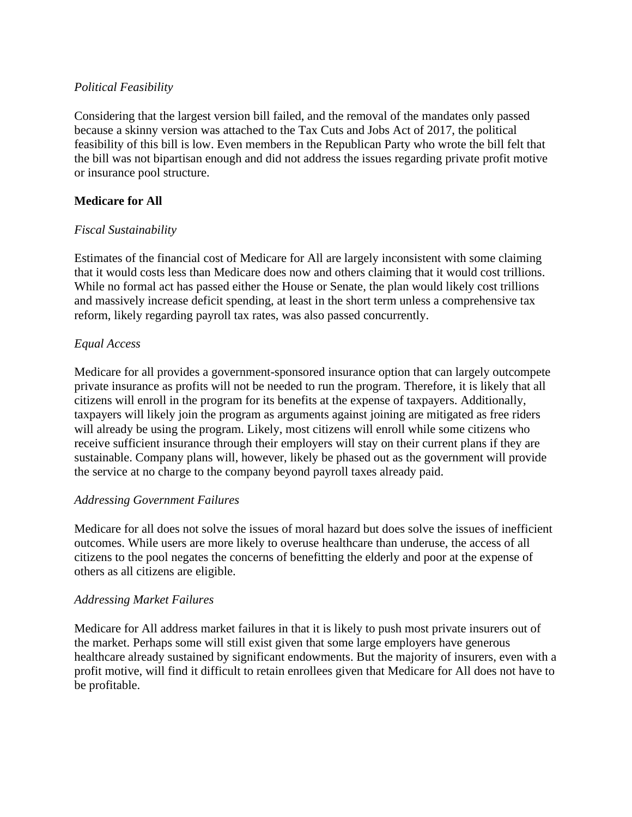## *Political Feasibility*

Considering that the largest version bill failed, and the removal of the mandates only passed because a skinny version was attached to the Tax Cuts and Jobs Act of 2017, the political feasibility of this bill is low. Even members in the Republican Party who wrote the bill felt that the bill was not bipartisan enough and did not address the issues regarding private profit motive or insurance pool structure.

## **Medicare for All**

## *Fiscal Sustainability*

Estimates of the financial cost of Medicare for All are largely inconsistent with some claiming that it would costs less than Medicare does now and others claiming that it would cost trillions. While no formal act has passed either the House or Senate, the plan would likely cost trillions and massively increase deficit spending, at least in the short term unless a comprehensive tax reform, likely regarding payroll tax rates, was also passed concurrently.

## *Equal Access*

Medicare for all provides a government-sponsored insurance option that can largely outcompete private insurance as profits will not be needed to run the program. Therefore, it is likely that all citizens will enroll in the program for its benefits at the expense of taxpayers. Additionally, taxpayers will likely join the program as arguments against joining are mitigated as free riders will already be using the program. Likely, most citizens will enroll while some citizens who receive sufficient insurance through their employers will stay on their current plans if they are sustainable. Company plans will, however, likely be phased out as the government will provide the service at no charge to the company beyond payroll taxes already paid.

#### *Addressing Government Failures*

Medicare for all does not solve the issues of moral hazard but does solve the issues of inefficient outcomes. While users are more likely to overuse healthcare than underuse, the access of all citizens to the pool negates the concerns of benefitting the elderly and poor at the expense of others as all citizens are eligible.

#### *Addressing Market Failures*

Medicare for All address market failures in that it is likely to push most private insurers out of the market. Perhaps some will still exist given that some large employers have generous healthcare already sustained by significant endowments. But the majority of insurers, even with a profit motive, will find it difficult to retain enrollees given that Medicare for All does not have to be profitable.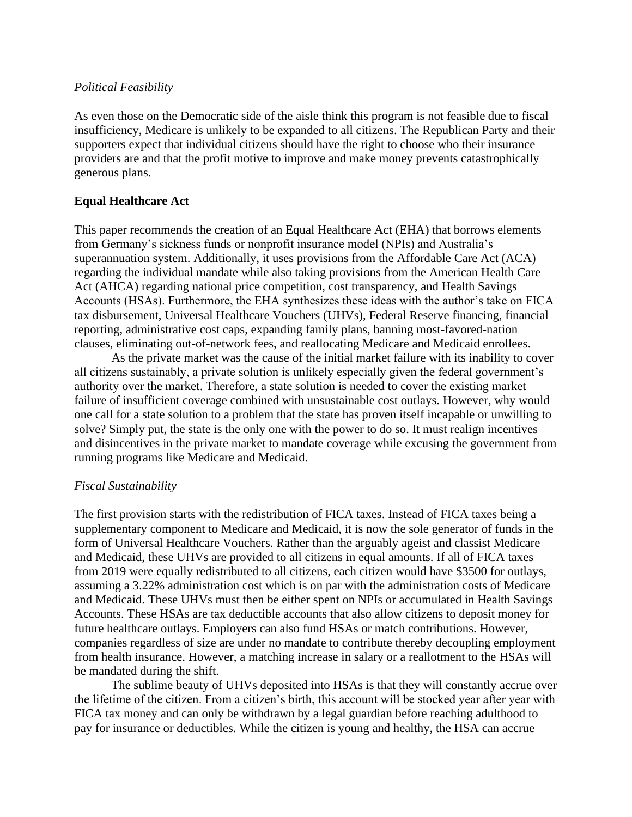#### *Political Feasibility*

As even those on the Democratic side of the aisle think this program is not feasible due to fiscal insufficiency, Medicare is unlikely to be expanded to all citizens. The Republican Party and their supporters expect that individual citizens should have the right to choose who their insurance providers are and that the profit motive to improve and make money prevents catastrophically generous plans.

## **Equal Healthcare Act**

This paper recommends the creation of an Equal Healthcare Act (EHA) that borrows elements from Germany's sickness funds or nonprofit insurance model (NPIs) and Australia's superannuation system. Additionally, it uses provisions from the Affordable Care Act (ACA) regarding the individual mandate while also taking provisions from the American Health Care Act (AHCA) regarding national price competition, cost transparency, and Health Savings Accounts (HSAs). Furthermore, the EHA synthesizes these ideas with the author's take on FICA tax disbursement, Universal Healthcare Vouchers (UHVs), Federal Reserve financing, financial reporting, administrative cost caps, expanding family plans, banning most-favored-nation clauses, eliminating out-of-network fees, and reallocating Medicare and Medicaid enrollees.

As the private market was the cause of the initial market failure with its inability to cover all citizens sustainably, a private solution is unlikely especially given the federal government's authority over the market. Therefore, a state solution is needed to cover the existing market failure of insufficient coverage combined with unsustainable cost outlays. However, why would one call for a state solution to a problem that the state has proven itself incapable or unwilling to solve? Simply put, the state is the only one with the power to do so. It must realign incentives and disincentives in the private market to mandate coverage while excusing the government from running programs like Medicare and Medicaid.

## *Fiscal Sustainability*

The first provision starts with the redistribution of FICA taxes. Instead of FICA taxes being a supplementary component to Medicare and Medicaid, it is now the sole generator of funds in the form of Universal Healthcare Vouchers. Rather than the arguably ageist and classist Medicare and Medicaid, these UHVs are provided to all citizens in equal amounts. If all of FICA taxes from 2019 were equally redistributed to all citizens, each citizen would have \$3500 for outlays, assuming a 3.22% administration cost which is on par with the administration costs of Medicare and Medicaid. These UHVs must then be either spent on NPIs or accumulated in Health Savings Accounts. These HSAs are tax deductible accounts that also allow citizens to deposit money for future healthcare outlays. Employers can also fund HSAs or match contributions. However, companies regardless of size are under no mandate to contribute thereby decoupling employment from health insurance. However, a matching increase in salary or a reallotment to the HSAs will be mandated during the shift.

The sublime beauty of UHVs deposited into HSAs is that they will constantly accrue over the lifetime of the citizen. From a citizen's birth, this account will be stocked year after year with FICA tax money and can only be withdrawn by a legal guardian before reaching adulthood to pay for insurance or deductibles. While the citizen is young and healthy, the HSA can accrue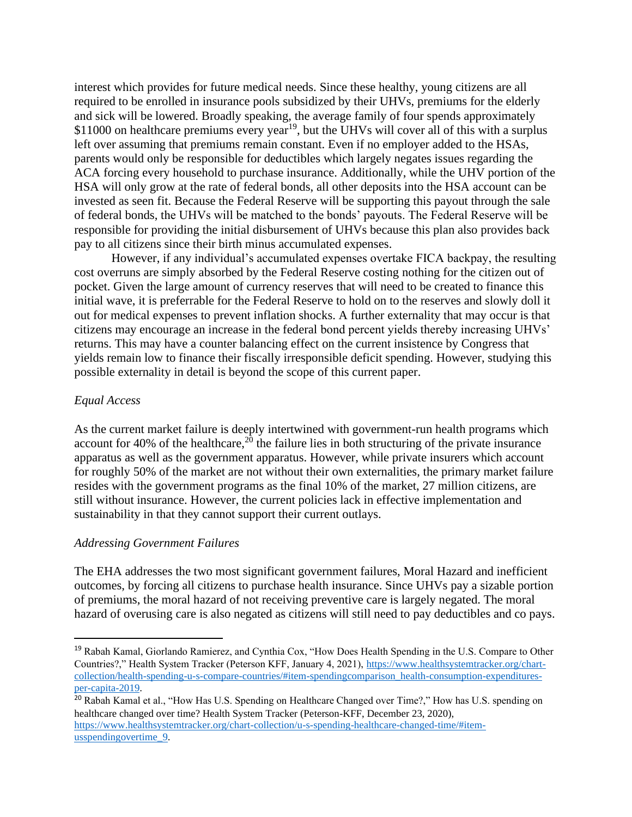interest which provides for future medical needs. Since these healthy, young citizens are all required to be enrolled in insurance pools subsidized by their UHVs, premiums for the elderly and sick will be lowered. Broadly speaking, the average family of four spends approximately \$11000 on healthcare premiums every year<sup>19</sup>, but the UHVs will cover all of this with a surplus left over assuming that premiums remain constant. Even if no employer added to the HSAs, parents would only be responsible for deductibles which largely negates issues regarding the ACA forcing every household to purchase insurance. Additionally, while the UHV portion of the HSA will only grow at the rate of federal bonds, all other deposits into the HSA account can be invested as seen fit. Because the Federal Reserve will be supporting this payout through the sale of federal bonds, the UHVs will be matched to the bonds' payouts. The Federal Reserve will be responsible for providing the initial disbursement of UHVs because this plan also provides back pay to all citizens since their birth minus accumulated expenses.

However, if any individual's accumulated expenses overtake FICA backpay, the resulting cost overruns are simply absorbed by the Federal Reserve costing nothing for the citizen out of pocket. Given the large amount of currency reserves that will need to be created to finance this initial wave, it is preferrable for the Federal Reserve to hold on to the reserves and slowly doll it out for medical expenses to prevent inflation shocks. A further externality that may occur is that citizens may encourage an increase in the federal bond percent yields thereby increasing UHVs' returns. This may have a counter balancing effect on the current insistence by Congress that yields remain low to finance their fiscally irresponsible deficit spending. However, studying this possible externality in detail is beyond the scope of this current paper.

#### *Equal Access*

As the current market failure is deeply intertwined with government-run health programs which account for 40% of the healthcare, $2^{0}$  the failure lies in both structuring of the private insurance apparatus as well as the government apparatus. However, while private insurers which account for roughly 50% of the market are not without their own externalities, the primary market failure resides with the government programs as the final 10% of the market, 27 million citizens, are still without insurance. However, the current policies lack in effective implementation and sustainability in that they cannot support their current outlays.

#### *Addressing Government Failures*

The EHA addresses the two most significant government failures, Moral Hazard and inefficient outcomes, by forcing all citizens to purchase health insurance. Since UHVs pay a sizable portion of premiums, the moral hazard of not receiving preventive care is largely negated. The moral hazard of overusing care is also negated as citizens will still need to pay deductibles and co pays.

<sup>19</sup> Rabah Kamal, Giorlando Ramierez, and Cynthia Cox, "How Does Health Spending in the U.S. Compare to Other Countries?," Health System Tracker (Peterson KFF, January 4, 2021), [https://www.healthsystemtracker.org/chart](https://www.healthsystemtracker.org/chart-collection/health-spending-u-s-compare-countries/#item-spendingcomparison_health-consumption-expenditures-per-capita-2019)[collection/health-spending-u-s-compare-countries/#item-spendingcomparison\\_health-consumption-expenditures](https://www.healthsystemtracker.org/chart-collection/health-spending-u-s-compare-countries/#item-spendingcomparison_health-consumption-expenditures-per-capita-2019)[per-capita-2019.](https://www.healthsystemtracker.org/chart-collection/health-spending-u-s-compare-countries/#item-spendingcomparison_health-consumption-expenditures-per-capita-2019) 

<sup>&</sup>lt;sup>20</sup> Rabah Kamal et al., "How Has U.S. Spending on Healthcare Changed over Time?," How has U.S. spending on healthcare changed over time? Health System Tracker (Peterson-KFF, December 23, 2020), [https://www.healthsystemtracker.org/chart-collection/u-s-spending-healthcare-changed-time/#item](https://www.healthsystemtracker.org/chart-collection/u-s-spending-healthcare-changed-time/#item-usspendingovertime_9)usspendingovertime<sup>9</sup>.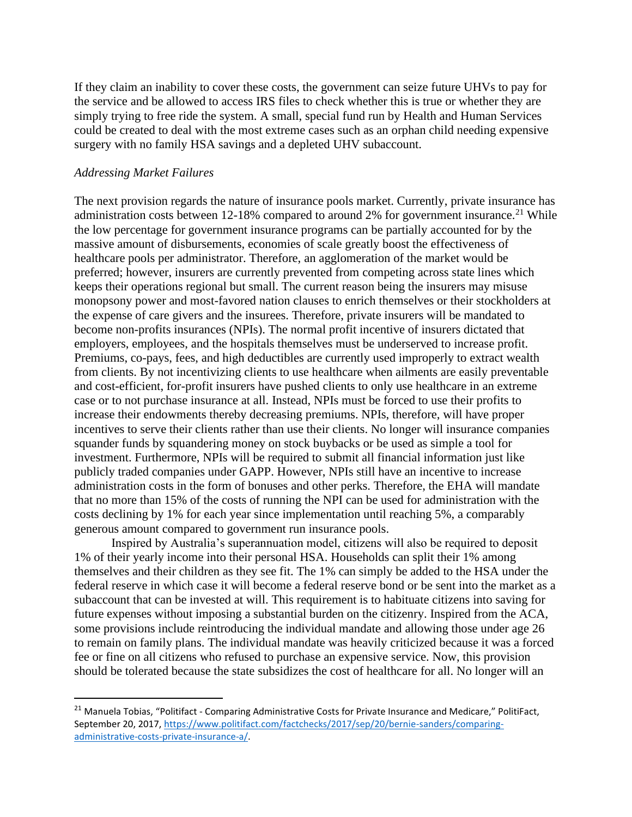If they claim an inability to cover these costs, the government can seize future UHVs to pay for the service and be allowed to access IRS files to check whether this is true or whether they are simply trying to free ride the system. A small, special fund run by Health and Human Services could be created to deal with the most extreme cases such as an orphan child needing expensive surgery with no family HSA savings and a depleted UHV subaccount.

#### *Addressing Market Failures*

The next provision regards the nature of insurance pools market. Currently, private insurance has administration costs between 12-18% compared to around 2% for government insurance.<sup>21</sup> While the low percentage for government insurance programs can be partially accounted for by the massive amount of disbursements, economies of scale greatly boost the effectiveness of healthcare pools per administrator. Therefore, an agglomeration of the market would be preferred; however, insurers are currently prevented from competing across state lines which keeps their operations regional but small. The current reason being the insurers may misuse monopsony power and most-favored nation clauses to enrich themselves or their stockholders at the expense of care givers and the insurees. Therefore, private insurers will be mandated to become non-profits insurances (NPIs). The normal profit incentive of insurers dictated that employers, employees, and the hospitals themselves must be underserved to increase profit. Premiums, co-pays, fees, and high deductibles are currently used improperly to extract wealth from clients. By not incentivizing clients to use healthcare when ailments are easily preventable and cost-efficient, for-profit insurers have pushed clients to only use healthcare in an extreme case or to not purchase insurance at all. Instead, NPIs must be forced to use their profits to increase their endowments thereby decreasing premiums. NPIs, therefore, will have proper incentives to serve their clients rather than use their clients. No longer will insurance companies squander funds by squandering money on stock buybacks or be used as simple a tool for investment. Furthermore, NPIs will be required to submit all financial information just like publicly traded companies under GAPP. However, NPIs still have an incentive to increase administration costs in the form of bonuses and other perks. Therefore, the EHA will mandate that no more than 15% of the costs of running the NPI can be used for administration with the costs declining by 1% for each year since implementation until reaching 5%, a comparably generous amount compared to government run insurance pools.

Inspired by Australia's superannuation model, citizens will also be required to deposit 1% of their yearly income into their personal HSA. Households can split their 1% among themselves and their children as they see fit. The 1% can simply be added to the HSA under the federal reserve in which case it will become a federal reserve bond or be sent into the market as a subaccount that can be invested at will. This requirement is to habituate citizens into saving for future expenses without imposing a substantial burden on the citizenry. Inspired from the ACA, some provisions include reintroducing the individual mandate and allowing those under age 26 to remain on family plans. The individual mandate was heavily criticized because it was a forced fee or fine on all citizens who refused to purchase an expensive service. Now, this provision should be tolerated because the state subsidizes the cost of healthcare for all. No longer will an

<sup>&</sup>lt;sup>21</sup> Manuela Tobias, "Politifact - Comparing Administrative Costs for Private Insurance and Medicare," PolitiFact, September 20, 2017, [https://www.politifact.com/factchecks/2017/sep/20/bernie-sanders/comparing](https://www.politifact.com/factchecks/2017/sep/20/bernie-sanders/comparing-administrative-costs-private-insurance-a/)[administrative-costs-private-insurance-a/.](https://www.politifact.com/factchecks/2017/sep/20/bernie-sanders/comparing-administrative-costs-private-insurance-a/)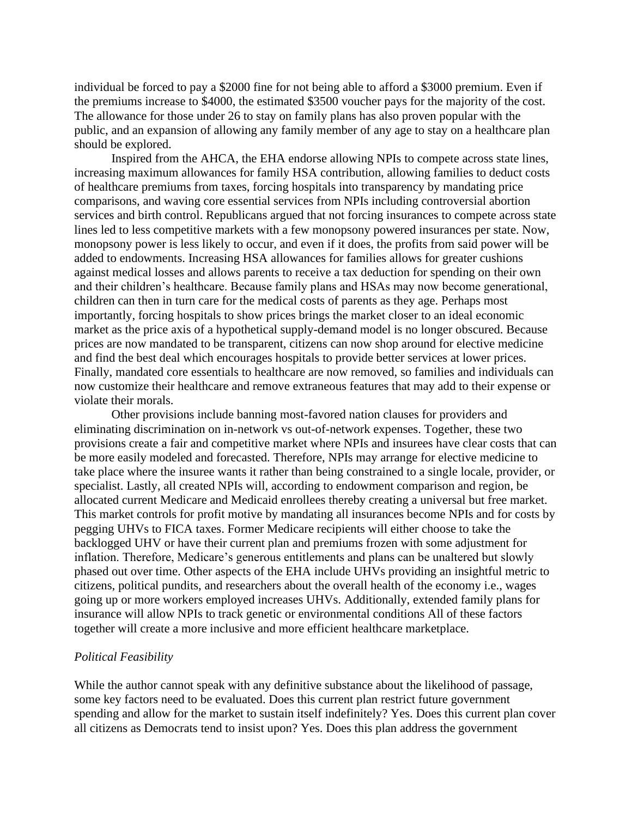individual be forced to pay a \$2000 fine for not being able to afford a \$3000 premium. Even if the premiums increase to \$4000, the estimated \$3500 voucher pays for the majority of the cost. The allowance for those under 26 to stay on family plans has also proven popular with the public, and an expansion of allowing any family member of any age to stay on a healthcare plan should be explored.

Inspired from the AHCA, the EHA endorse allowing NPIs to compete across state lines, increasing maximum allowances for family HSA contribution, allowing families to deduct costs of healthcare premiums from taxes, forcing hospitals into transparency by mandating price comparisons, and waving core essential services from NPIs including controversial abortion services and birth control. Republicans argued that not forcing insurances to compete across state lines led to less competitive markets with a few monopsony powered insurances per state. Now, monopsony power is less likely to occur, and even if it does, the profits from said power will be added to endowments. Increasing HSA allowances for families allows for greater cushions against medical losses and allows parents to receive a tax deduction for spending on their own and their children's healthcare. Because family plans and HSAs may now become generational, children can then in turn care for the medical costs of parents as they age. Perhaps most importantly, forcing hospitals to show prices brings the market closer to an ideal economic market as the price axis of a hypothetical supply-demand model is no longer obscured. Because prices are now mandated to be transparent, citizens can now shop around for elective medicine and find the best deal which encourages hospitals to provide better services at lower prices. Finally, mandated core essentials to healthcare are now removed, so families and individuals can now customize their healthcare and remove extraneous features that may add to their expense or violate their morals.

Other provisions include banning most-favored nation clauses for providers and eliminating discrimination on in-network vs out-of-network expenses. Together, these two provisions create a fair and competitive market where NPIs and insurees have clear costs that can be more easily modeled and forecasted. Therefore, NPIs may arrange for elective medicine to take place where the insuree wants it rather than being constrained to a single locale, provider, or specialist. Lastly, all created NPIs will, according to endowment comparison and region, be allocated current Medicare and Medicaid enrollees thereby creating a universal but free market. This market controls for profit motive by mandating all insurances become NPIs and for costs by pegging UHVs to FICA taxes. Former Medicare recipients will either choose to take the backlogged UHV or have their current plan and premiums frozen with some adjustment for inflation. Therefore, Medicare's generous entitlements and plans can be unaltered but slowly phased out over time. Other aspects of the EHA include UHVs providing an insightful metric to citizens, political pundits, and researchers about the overall health of the economy i.e., wages going up or more workers employed increases UHVs. Additionally, extended family plans for insurance will allow NPIs to track genetic or environmental conditions All of these factors together will create a more inclusive and more efficient healthcare marketplace.

#### *Political Feasibility*

While the author cannot speak with any definitive substance about the likelihood of passage, some key factors need to be evaluated. Does this current plan restrict future government spending and allow for the market to sustain itself indefinitely? Yes. Does this current plan cover all citizens as Democrats tend to insist upon? Yes. Does this plan address the government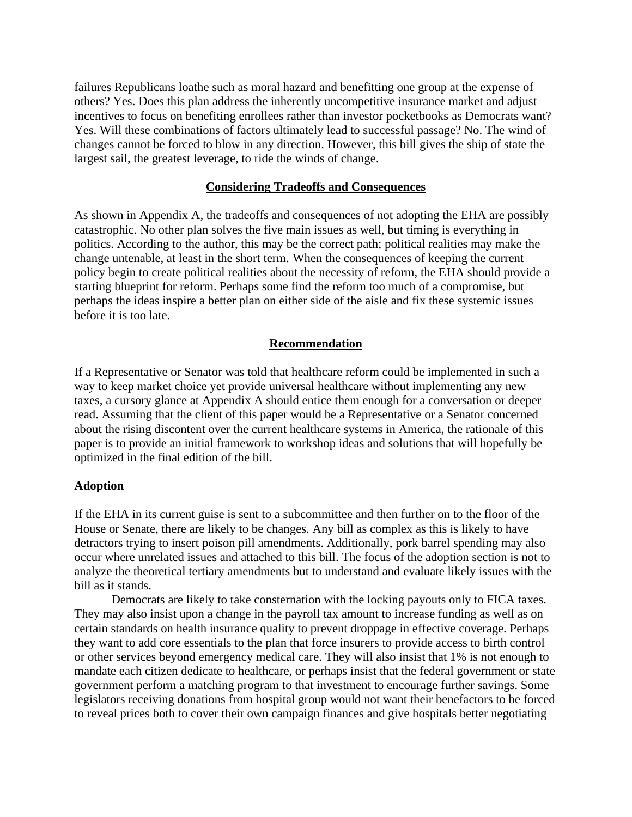failures Republicans loathe such as moral hazard and benefitting one group at the expense of others? Yes. Does this plan address the inherently uncompetitive insurance market and adjust incentives to focus on benefiting enrollees rather than investor pocketbooks as Democrats want? Yes. Will these combinations of factors ultimately lead to successful passage? No. The wind of changes cannot be forced to blow in any direction. However, this bill gives the ship of state the largest sail, the greatest leverage, to ride the winds of change.

#### **Considering Tradeoffs and Consequences**

As shown in Appendix A, the tradeoffs and consequences of not adopting the EHA are possibly catastrophic. No other plan solves the five main issues as well, but timing is everything in politics. According to the author, this may be the correct path; political realities may make the change untenable, at least in the short term. When the consequences of keeping the current policy begin to create political realities about the necessity of reform, the EHA should provide a starting blueprint for reform. Perhaps some find the reform too much of a compromise, but perhaps the ideas inspire a better plan on either side of the aisle and fix these systemic issues before it is too late.

## **Recommendation**

If a Representative or Senator was told that healthcare reform could be implemented in such a way to keep market choice yet provide universal healthcare without implementing any new taxes, a cursory glance at Appendix A should entice them enough for a conversation or deeper read. Assuming that the client of this paper would be a Representative or a Senator concerned about the rising discontent over the current healthcare systems in America, the rationale of this paper is to provide an initial framework to workshop ideas and solutions that will hopefully be optimized in the final edition of the bill.

#### **Adoption**

If the EHA in its current guise is sent to a subcommittee and then further on to the floor of the House or Senate, there are likely to be changes. Any bill as complex as this is likely to have detractors trying to insert poison pill amendments. Additionally, pork barrel spending may also occur where unrelated issues and attached to this bill. The focus of the adoption section is not to analyze the theoretical tertiary amendments but to understand and evaluate likely issues with the bill as it stands.

Democrats are likely to take consternation with the locking payouts only to FICA taxes. They may also insist upon a change in the payroll tax amount to increase funding as well as on certain standards on health insurance quality to prevent droppage in effective coverage. Perhaps they want to add core essentials to the plan that force insurers to provide access to birth control or other services beyond emergency medical care. They will also insist that 1% is not enough to mandate each citizen dedicate to healthcare, or perhaps insist that the federal government or state government perform a matching program to that investment to encourage further savings. Some legislators receiving donations from hospital group would not want their benefactors to be forced to reveal prices both to cover their own campaign finances and give hospitals better negotiating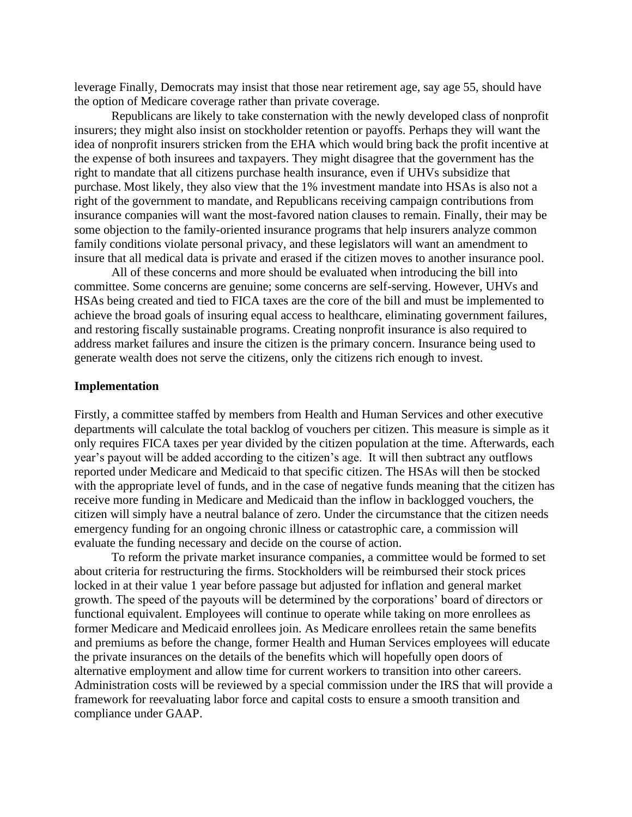leverage Finally, Democrats may insist that those near retirement age, say age 55, should have the option of Medicare coverage rather than private coverage.

Republicans are likely to take consternation with the newly developed class of nonprofit insurers; they might also insist on stockholder retention or payoffs. Perhaps they will want the idea of nonprofit insurers stricken from the EHA which would bring back the profit incentive at the expense of both insurees and taxpayers. They might disagree that the government has the right to mandate that all citizens purchase health insurance, even if UHVs subsidize that purchase. Most likely, they also view that the 1% investment mandate into HSAs is also not a right of the government to mandate, and Republicans receiving campaign contributions from insurance companies will want the most-favored nation clauses to remain. Finally, their may be some objection to the family-oriented insurance programs that help insurers analyze common family conditions violate personal privacy, and these legislators will want an amendment to insure that all medical data is private and erased if the citizen moves to another insurance pool.

All of these concerns and more should be evaluated when introducing the bill into committee. Some concerns are genuine; some concerns are self-serving. However, UHVs and HSAs being created and tied to FICA taxes are the core of the bill and must be implemented to achieve the broad goals of insuring equal access to healthcare, eliminating government failures, and restoring fiscally sustainable programs. Creating nonprofit insurance is also required to address market failures and insure the citizen is the primary concern. Insurance being used to generate wealth does not serve the citizens, only the citizens rich enough to invest.

#### **Implementation**

Firstly, a committee staffed by members from Health and Human Services and other executive departments will calculate the total backlog of vouchers per citizen. This measure is simple as it only requires FICA taxes per year divided by the citizen population at the time. Afterwards, each year's payout will be added according to the citizen's age. It will then subtract any outflows reported under Medicare and Medicaid to that specific citizen. The HSAs will then be stocked with the appropriate level of funds, and in the case of negative funds meaning that the citizen has receive more funding in Medicare and Medicaid than the inflow in backlogged vouchers, the citizen will simply have a neutral balance of zero. Under the circumstance that the citizen needs emergency funding for an ongoing chronic illness or catastrophic care, a commission will evaluate the funding necessary and decide on the course of action.

To reform the private market insurance companies, a committee would be formed to set about criteria for restructuring the firms. Stockholders will be reimbursed their stock prices locked in at their value 1 year before passage but adjusted for inflation and general market growth. The speed of the payouts will be determined by the corporations' board of directors or functional equivalent. Employees will continue to operate while taking on more enrollees as former Medicare and Medicaid enrollees join. As Medicare enrollees retain the same benefits and premiums as before the change, former Health and Human Services employees will educate the private insurances on the details of the benefits which will hopefully open doors of alternative employment and allow time for current workers to transition into other careers. Administration costs will be reviewed by a special commission under the IRS that will provide a framework for reevaluating labor force and capital costs to ensure a smooth transition and compliance under GAAP.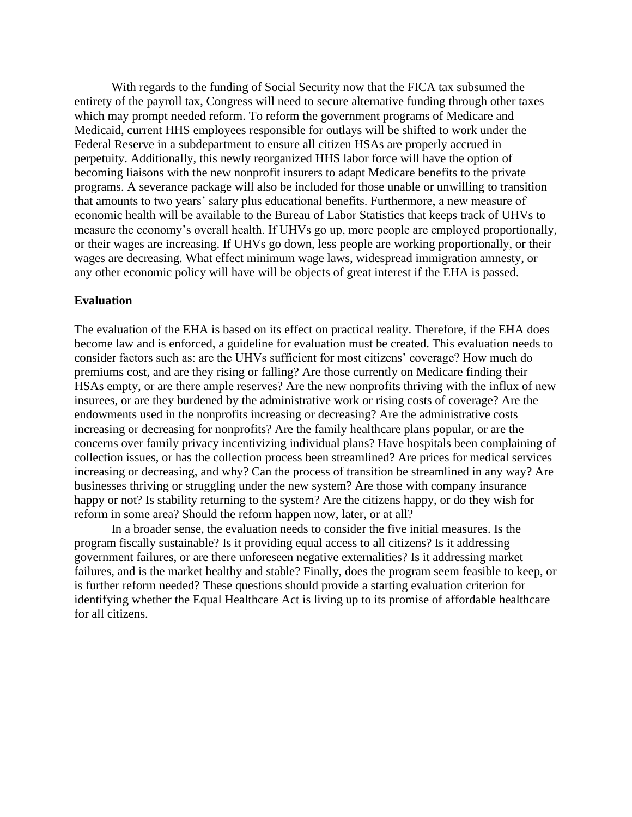With regards to the funding of Social Security now that the FICA tax subsumed the entirety of the payroll tax, Congress will need to secure alternative funding through other taxes which may prompt needed reform. To reform the government programs of Medicare and Medicaid, current HHS employees responsible for outlays will be shifted to work under the Federal Reserve in a subdepartment to ensure all citizen HSAs are properly accrued in perpetuity. Additionally, this newly reorganized HHS labor force will have the option of becoming liaisons with the new nonprofit insurers to adapt Medicare benefits to the private programs. A severance package will also be included for those unable or unwilling to transition that amounts to two years' salary plus educational benefits. Furthermore, a new measure of economic health will be available to the Bureau of Labor Statistics that keeps track of UHVs to measure the economy's overall health. If UHVs go up, more people are employed proportionally, or their wages are increasing. If UHVs go down, less people are working proportionally, or their wages are decreasing. What effect minimum wage laws, widespread immigration amnesty, or any other economic policy will have will be objects of great interest if the EHA is passed.

#### **Evaluation**

The evaluation of the EHA is based on its effect on practical reality. Therefore, if the EHA does become law and is enforced, a guideline for evaluation must be created. This evaluation needs to consider factors such as: are the UHVs sufficient for most citizens' coverage? How much do premiums cost, and are they rising or falling? Are those currently on Medicare finding their HSAs empty, or are there ample reserves? Are the new nonprofits thriving with the influx of new insurees, or are they burdened by the administrative work or rising costs of coverage? Are the endowments used in the nonprofits increasing or decreasing? Are the administrative costs increasing or decreasing for nonprofits? Are the family healthcare plans popular, or are the concerns over family privacy incentivizing individual plans? Have hospitals been complaining of collection issues, or has the collection process been streamlined? Are prices for medical services increasing or decreasing, and why? Can the process of transition be streamlined in any way? Are businesses thriving or struggling under the new system? Are those with company insurance happy or not? Is stability returning to the system? Are the citizens happy, or do they wish for reform in some area? Should the reform happen now, later, or at all?

In a broader sense, the evaluation needs to consider the five initial measures. Is the program fiscally sustainable? Is it providing equal access to all citizens? Is it addressing government failures, or are there unforeseen negative externalities? Is it addressing market failures, and is the market healthy and stable? Finally, does the program seem feasible to keep, or is further reform needed? These questions should provide a starting evaluation criterion for identifying whether the Equal Healthcare Act is living up to its promise of affordable healthcare for all citizens.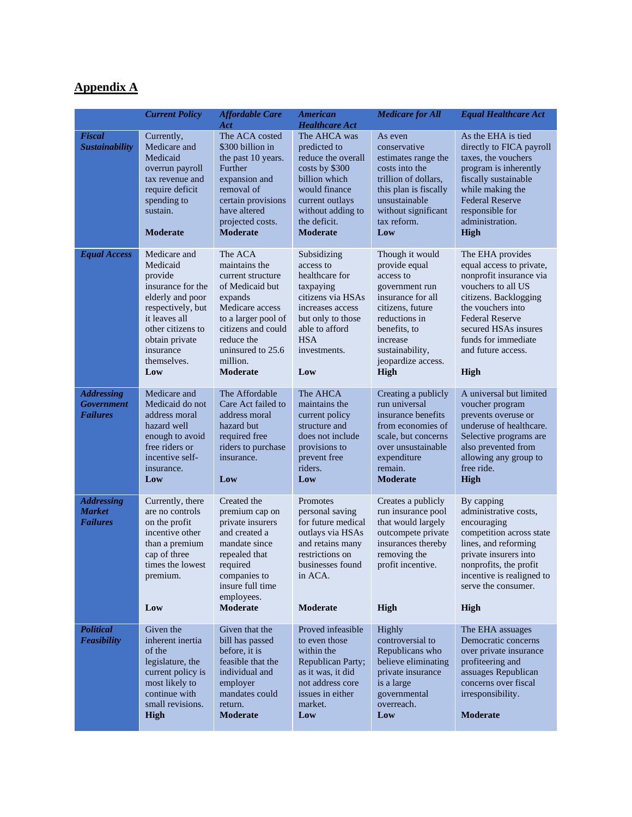## **Appendix A**

|                                                           | <b>Current Policy</b>                                                                                                                                                                        | <b>Affordable Care</b><br>Act                                                                                                                                                                          | <b>American</b><br><b>Healthcare Act</b>                                                                                                                                          | <b>Medicare for All</b>                                                                                                                                                                                | <b>Equal Healthcare Act</b>                                                                                                                                                                                                                        |
|-----------------------------------------------------------|----------------------------------------------------------------------------------------------------------------------------------------------------------------------------------------------|--------------------------------------------------------------------------------------------------------------------------------------------------------------------------------------------------------|-----------------------------------------------------------------------------------------------------------------------------------------------------------------------------------|--------------------------------------------------------------------------------------------------------------------------------------------------------------------------------------------------------|----------------------------------------------------------------------------------------------------------------------------------------------------------------------------------------------------------------------------------------------------|
| Fiscal<br><b>Sustainability</b>                           | Currently,<br>Medicare and<br>Medicaid<br>overrun payroll<br>tax revenue and<br>require deficit<br>spending to<br>sustain.<br><b>Moderate</b>                                                | The ACA costed<br>\$300 billion in<br>the past 10 years.<br>Further<br>expansion and<br>removal of<br>certain provisions<br>have altered<br>projected costs.<br><b>Moderate</b>                        | The AHCA was<br>predicted to<br>reduce the overall<br>costs by \$300<br>billion which<br>would finance<br>current outlays<br>without adding to<br>the deficit.<br><b>Moderate</b> | As even<br>conservative<br>estimates range the<br>costs into the<br>trillion of dollars,<br>this plan is fiscally<br>unsustainable<br>without significant<br>tax reform.<br>Low                        | As the EHA is tied<br>directly to FICA payroll<br>taxes, the vouchers<br>program is inherently<br>fiscally sustainable<br>while making the<br><b>Federal Reserve</b><br>responsible for<br>administration.<br><b>High</b>                          |
| <b>Equal Access</b>                                       | Medicare and<br>Medicaid<br>provide<br>insurance for the<br>elderly and poor<br>respectively, but<br>it leaves all<br>other citizens to<br>obtain private<br>insurance<br>themselves.<br>Low | The ACA<br>maintains the<br>current structure<br>of Medicaid but<br>expands<br>Medicare access<br>to a larger pool of<br>citizens and could<br>reduce the<br>uninsured to 25.6<br>million.<br>Moderate | Subsidizing<br>access to<br>healthcare for<br>taxpaying<br>citizens via HSAs<br>increases access<br>but only to those<br>able to afford<br><b>HSA</b><br>investments.<br>Low      | Though it would<br>provide equal<br>access to<br>government run<br>insurance for all<br>citizens, future<br>reductions in<br>benefits, to<br>increase<br>sustainability,<br>jeopardize access.<br>High | The EHA provides<br>equal access to private,<br>nonprofit insurance via<br>vouchers to all US<br>citizens. Backlogging<br>the vouchers into<br><b>Federal Reserve</b><br>secured HSAs insures<br>funds for immediate<br>and future access.<br>High |
| <b>Addressing</b><br><b>Government</b><br><b>Failures</b> | Medicare and<br>Medicaid do not<br>address moral<br>hazard well<br>enough to avoid<br>free riders or<br>incentive self-<br>insurance.<br>Low                                                 | The Affordable<br>Care Act failed to<br>address moral<br>hazard but<br>required free<br>riders to purchase<br>insurance.<br>Low                                                                        | The AHCA<br>maintains the<br>current policy<br>structure and<br>does not include<br>provisions to<br>prevent free<br>riders.<br>Low                                               | Creating a publicly<br>run universal<br>insurance benefits<br>from economies of<br>scale, but concerns<br>over unsustainable<br>expenditure<br>remain.<br><b>Moderate</b>                              | A universal but limited<br>voucher program<br>prevents overuse or<br>underuse of healthcare.<br>Selective programs are<br>also prevented from<br>allowing any group to<br>free ride.<br><b>High</b>                                                |
| <b>Addressing</b><br><b>Market</b><br><b>Failures</b>     | Currently, there<br>are no controls<br>on the profit<br>incentive other<br>than a premium<br>cap of three<br>times the lowest<br>premium.<br>Low                                             | Created the<br>premium cap on<br>private insurers<br>and created a<br>mandate since<br>repealed that<br>required<br>companies to<br>insure full time<br>employees.<br>Moderate                         | Promotes<br>personal saving<br>for future medical<br>outlays via HSAs<br>and retains many<br>restrictions on<br>businesses found<br>in ACA.<br>Moderate                           | Creates a publicly<br>run insurance pool<br>that would largely<br>outcompete private<br>insurances thereby<br>removing the<br>profit incentive.<br>High                                                | By capping<br>administrative costs,<br>encouraging<br>competition across state<br>lines, and reforming<br>private insurers into<br>nonprofits, the profit<br>incentive is realigned to<br>serve the consumer.<br>High                              |
| <b>Political</b><br><b>Feasibility</b>                    | Given the<br>inherent inertia<br>of the<br>legislature, the<br>current policy is<br>most likely to<br>continue with<br>small revisions.<br>High                                              | Given that the<br>bill has passed<br>before, it is<br>feasible that the<br>individual and<br>employer<br>mandates could<br>return.<br><b>Moderate</b>                                                  | Proved infeasible<br>to even those<br>within the<br><b>Republican Party;</b><br>as it was, it did<br>not address core<br>issues in either<br>market.<br>Low                       | Highly<br>controversial to<br>Republicans who<br>believe eliminating<br>private insurance<br>is a large<br>governmental<br>overreach.<br>Low                                                           | The EHA assuages<br>Democratic concerns<br>over private insurance<br>profiteering and<br>assuages Republican<br>concerns over fiscal<br>irresponsibility.<br><b>Moderate</b>                                                                       |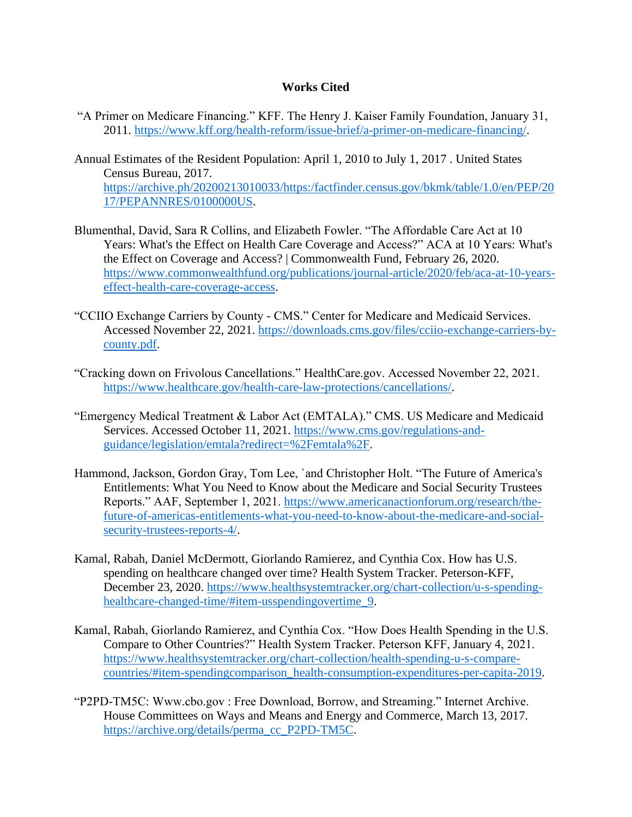#### **Works Cited**

- "A Primer on Medicare Financing." KFF. The Henry J. Kaiser Family Foundation, January 31, 2011. [https://www.kff.org/health-reform/issue-brief/a-primer-on-medicare-financing/.](https://www.kff.org/health-reform/issue-brief/a-primer-on-medicare-financing/)
- Annual Estimates of the Resident Population: April 1, 2010 to July 1, 2017 . United States Census Bureau, 2017. [https://archive.ph/20200213010033/https:/factfinder.census.gov/bkmk/table/1.0/en/PEP/20](https://archive.ph/20200213010033/https:/factfinder.census.gov/bkmk/table/1.0/en/PEP/2017/PEPANNRES/0100000US) [17/PEPANNRES/0100000US.](https://archive.ph/20200213010033/https:/factfinder.census.gov/bkmk/table/1.0/en/PEP/2017/PEPANNRES/0100000US)
- Blumenthal, David, Sara R Collins, and Elizabeth Fowler. "The Affordable Care Act at 10 Years: What's the Effect on Health Care Coverage and Access?" ACA at 10 Years: What's the Effect on Coverage and Access? | Commonwealth Fund, February 26, 2020. [https://www.commonwealthfund.org/publications/journal-article/2020/feb/aca-at-10-years](https://www.commonwealthfund.org/publications/journal-article/2020/feb/aca-at-10-years-effect-health-care-coverage-access)[effect-health-care-coverage-access.](https://www.commonwealthfund.org/publications/journal-article/2020/feb/aca-at-10-years-effect-health-care-coverage-access)
- "CCIIO Exchange Carriers by County CMS." Center for Medicare and Medicaid Services. Accessed November 22, 2021. [https://downloads.cms.gov/files/cciio-exchange-carriers-by](https://downloads.cms.gov/files/cciio-exchange-carriers-by-county.pdf)[county.pdf.](https://downloads.cms.gov/files/cciio-exchange-carriers-by-county.pdf)
- "Cracking down on Frivolous Cancellations." HealthCare.gov. Accessed November 22, 2021. [https://www.healthcare.gov/health-care-law-protections/cancellations/.](https://www.healthcare.gov/health-care-law-protections/cancellations/)
- "Emergency Medical Treatment & Labor Act (EMTALA)." CMS. US Medicare and Medicaid Services. Accessed October 11, 2021. [https://www.cms.gov/regulations-and](https://www.cms.gov/regulations-and-guidance/legislation/emtala?redirect=%2Femtala%2F)[guidance/legislation/emtala?redirect=%2Femtala%2F.](https://www.cms.gov/regulations-and-guidance/legislation/emtala?redirect=%2Femtala%2F)
- Hammond, Jackson, Gordon Gray, Tom Lee, `and Christopher Holt. "The Future of America's Entitlements: What You Need to Know about the Medicare and Social Security Trustees Reports." AAF, September 1, 2021. [https://www.americanactionforum.org/research/the](https://www.americanactionforum.org/research/the-future-of-americas-entitlements-what-you-need-to-know-about-the-medicare-and-social-security-trustees-reports-4/)[future-of-americas-entitlements-what-you-need-to-know-about-the-medicare-and-social](https://www.americanactionforum.org/research/the-future-of-americas-entitlements-what-you-need-to-know-about-the-medicare-and-social-security-trustees-reports-4/)[security-trustees-reports-4/.](https://www.americanactionforum.org/research/the-future-of-americas-entitlements-what-you-need-to-know-about-the-medicare-and-social-security-trustees-reports-4/)
- Kamal, Rabah, Daniel McDermott, Giorlando Ramierez, and Cynthia Cox. How has U.S. spending on healthcare changed over time? Health System Tracker. Peterson-KFF, December 23, 2020. [https://www.healthsystemtracker.org/chart-collection/u-s-spending](https://www.healthsystemtracker.org/chart-collection/u-s-spending-healthcare-changed-time/#item-usspendingovertime_9)[healthcare-changed-time/#item-usspendingovertime\\_9.](https://www.healthsystemtracker.org/chart-collection/u-s-spending-healthcare-changed-time/#item-usspendingovertime_9)
- Kamal, Rabah, Giorlando Ramierez, and Cynthia Cox. "How Does Health Spending in the U.S. Compare to Other Countries?" Health System Tracker. Peterson KFF, January 4, 2021. [https://www.healthsystemtracker.org/chart-collection/health-spending-u-s-compare](https://www.healthsystemtracker.org/chart-collection/health-spending-u-s-compare-countries/#item-spendingcomparison_health-consumption-expenditures-per-capita-2019)[countries/#item-spendingcomparison\\_health-consumption-expenditures-per-capita-2019.](https://www.healthsystemtracker.org/chart-collection/health-spending-u-s-compare-countries/#item-spendingcomparison_health-consumption-expenditures-per-capita-2019)
- "P2PD-TM5C: Www.cbo.gov : Free Download, Borrow, and Streaming." Internet Archive. House Committees on Ways and Means and Energy and Commerce, March 13, 2017. [https://archive.org/details/perma\\_cc\\_P2PD-TM5C.](https://archive.org/details/perma_cc_P2PD-TM5C)